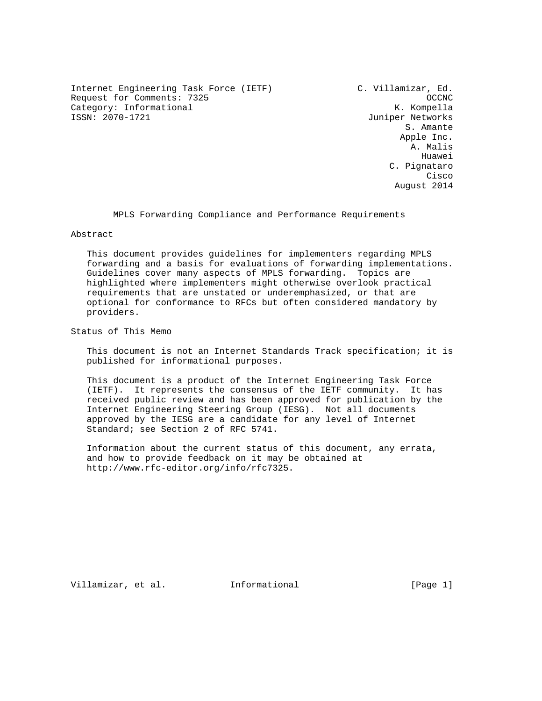Internet Engineering Task Force (IETF) C. Villamizar, Ed. Request for Comments: 7325 OCCNC Category: Informational K. Kompella<br>
ISSN: 2070-1721 Juniper Networks

Juniper Networks S. Amante Apple Inc. A. Malis he distributed by the control of the control of the control of the control of the control of the control of the control of the control of the control of the control of the control of the control of the control of the contr C. Pignataro **Cisco de la contrata de la contrata de la contrata de la contrata de la contrata de la contrata de la contrat** August 2014

MPLS Forwarding Compliance and Performance Requirements

Abstract

 This document provides guidelines for implementers regarding MPLS forwarding and a basis for evaluations of forwarding implementations. Guidelines cover many aspects of MPLS forwarding. Topics are highlighted where implementers might otherwise overlook practical requirements that are unstated or underemphasized, or that are optional for conformance to RFCs but often considered mandatory by providers.

Status of This Memo

 This document is not an Internet Standards Track specification; it is published for informational purposes.

 This document is a product of the Internet Engineering Task Force (IETF). It represents the consensus of the IETF community. It has received public review and has been approved for publication by the Internet Engineering Steering Group (IESG). Not all documents approved by the IESG are a candidate for any level of Internet Standard; see Section 2 of RFC 5741.

 Information about the current status of this document, any errata, and how to provide feedback on it may be obtained at http://www.rfc-editor.org/info/rfc7325.

Villamizar, et al. 1nformational [Page 1]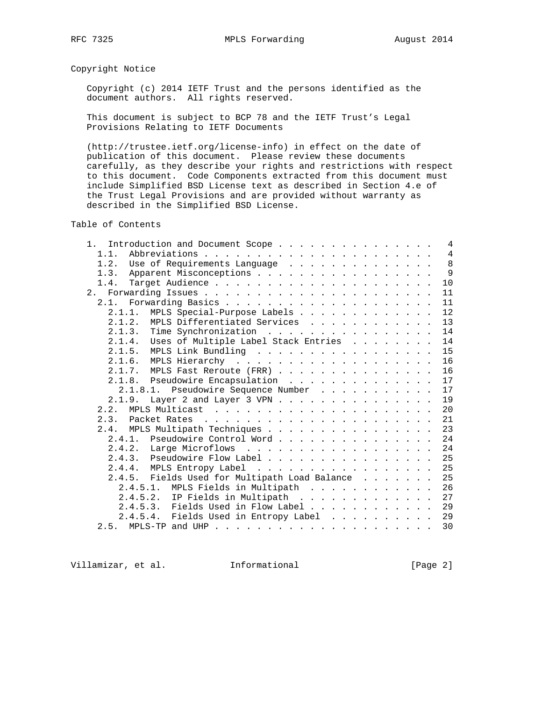Copyright Notice

 Copyright (c) 2014 IETF Trust and the persons identified as the document authors. All rights reserved.

 This document is subject to BCP 78 and the IETF Trust's Legal Provisions Relating to IETF Documents

 (http://trustee.ietf.org/license-info) in effect on the date of publication of this document. Please review these documents carefully, as they describe your rights and restrictions with respect to this document. Code Components extracted from this document must include Simplified BSD License text as described in Section 4.e of the Trust Legal Provisions and are provided without warranty as described in the Simplified BSD License.

Table of Contents

| 1. Introduction and Document Scope             |  |  |  |  | $\overline{4}$ |
|------------------------------------------------|--|--|--|--|----------------|
| 1.1.                                           |  |  |  |  | $\overline{4}$ |
| Use of Requirements Language<br>1.2.           |  |  |  |  | 8              |
| Apparent Misconceptions<br>1.3.                |  |  |  |  | 9              |
| 1.4.                                           |  |  |  |  | 10             |
|                                                |  |  |  |  | 11             |
|                                                |  |  |  |  | 11             |
| MPLS Special-Purpose Labels<br>2.1.1.          |  |  |  |  | 12             |
| 2.1.2. MPLS Differentiated Services            |  |  |  |  | 13             |
| 2.1.3. Time Synchronization                    |  |  |  |  | 14             |
| Uses of Multiple Label Stack Entries<br>2.1.4. |  |  |  |  | 14             |
| MPLS Link Bundling<br>2.1.5.                   |  |  |  |  | 15             |
|                                                |  |  |  |  | 16             |
| 2.1.7. MPLS Fast Reroute (FRR)                 |  |  |  |  | 16             |
| 2.1.8. Pseudowire Encapsulation                |  |  |  |  | 17             |
| 2.1.8.1. Pseudowire Sequence Number            |  |  |  |  | 17             |
| 2.1.9.                                         |  |  |  |  | 19             |
|                                                |  |  |  |  | 20             |
|                                                |  |  |  |  | 21             |
| 2.4. MPLS Multipath Techniques                 |  |  |  |  | 23             |
| 2.4.1. Pseudowire Control Word                 |  |  |  |  | 24             |
| 2.4.2. Large Microflows                        |  |  |  |  | 24             |
| 2.4.3. Pseudowire Flow Label                   |  |  |  |  | 25             |
| 2.4.4. MPLS Entropy Label                      |  |  |  |  | 25             |
| 2.4.5. Fields Used for Multipath Load Balance  |  |  |  |  | 25             |
| 2.4.5.1. MPLS Fields in Multipath              |  |  |  |  | 26             |
| 2.4.5.2. IP Fields in Multipath                |  |  |  |  | 27             |
| 2.4.5.3. Fields Used in Flow Label             |  |  |  |  | 29             |
| 2.4.5.4. Fields Used in Entropy Label 29       |  |  |  |  |                |
|                                                |  |  |  |  | 30             |
|                                                |  |  |  |  |                |

Villamizar, et al. 1nformational (Page 2)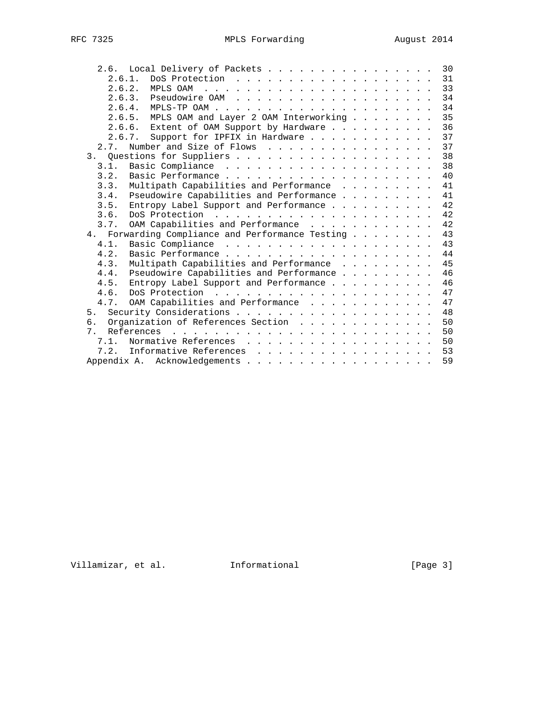|              | 2.6. Local Delivery of Packets                                                                                                                                                                                                               |  |  |  |  | 30 |
|--------------|----------------------------------------------------------------------------------------------------------------------------------------------------------------------------------------------------------------------------------------------|--|--|--|--|----|
| 2.6.1.       |                                                                                                                                                                                                                                              |  |  |  |  | 31 |
| 2.6.2.       |                                                                                                                                                                                                                                              |  |  |  |  | 33 |
|              | 2.6.3.                                                                                                                                                                                                                                       |  |  |  |  | 34 |
|              | 2.6.4.                                                                                                                                                                                                                                       |  |  |  |  | 34 |
|              | MPLS OAM and Layer 2 OAM Interworking<br>2.6.5.                                                                                                                                                                                              |  |  |  |  | 35 |
|              | 2.6.6. Extent of OAM Support by Hardware                                                                                                                                                                                                     |  |  |  |  | 36 |
|              | Support for IPFIX in Hardware<br>2.6.7.                                                                                                                                                                                                      |  |  |  |  | 37 |
| 2.7.         | Number and Size of Flows                                                                                                                                                                                                                     |  |  |  |  | 37 |
|              |                                                                                                                                                                                                                                              |  |  |  |  | 38 |
| 3.1.         |                                                                                                                                                                                                                                              |  |  |  |  | 38 |
| 3.2.         |                                                                                                                                                                                                                                              |  |  |  |  | 40 |
| 3.3.         | Multipath Capabilities and Performance                                                                                                                                                                                                       |  |  |  |  | 41 |
| 3.4.         | Pseudowire Capabilities and Performance                                                                                                                                                                                                      |  |  |  |  | 41 |
| 3.5.         | Entropy Label Support and Performance                                                                                                                                                                                                        |  |  |  |  | 42 |
| 3.6.         |                                                                                                                                                                                                                                              |  |  |  |  | 42 |
| 3.7.         | OAM Capabilities and Performance                                                                                                                                                                                                             |  |  |  |  | 42 |
|              | 4. Forwarding Compliance and Performance Testing                                                                                                                                                                                             |  |  |  |  | 43 |
| 4.1.         |                                                                                                                                                                                                                                              |  |  |  |  | 43 |
| 4.2.         |                                                                                                                                                                                                                                              |  |  |  |  | 44 |
| 4.3.         |                                                                                                                                                                                                                                              |  |  |  |  | 45 |
|              | Multipath Capabilities and Performance                                                                                                                                                                                                       |  |  |  |  | 46 |
| 4.4.<br>4.5. | Pseudowire Capabilities and Performance                                                                                                                                                                                                      |  |  |  |  | 46 |
|              | Entropy Label Support and Performance                                                                                                                                                                                                        |  |  |  |  |    |
| 4.6.         |                                                                                                                                                                                                                                              |  |  |  |  | 47 |
| 4.7.         | OAM Capabilities and Performance                                                                                                                                                                                                             |  |  |  |  | 47 |
| 5.           |                                                                                                                                                                                                                                              |  |  |  |  | 48 |
| б.           | Organization of References Section                                                                                                                                                                                                           |  |  |  |  | 50 |
| 7            | References<br>the contract of the contract of the contract of the contract of the contract of the contract of the contract of the contract of the contract of the contract of the contract of the contract of the contract of the contract o |  |  |  |  | 50 |
| 7.1.         |                                                                                                                                                                                                                                              |  |  |  |  | 50 |
| 7.2.         | Informative References                                                                                                                                                                                                                       |  |  |  |  | 53 |
|              |                                                                                                                                                                                                                                              |  |  |  |  | 59 |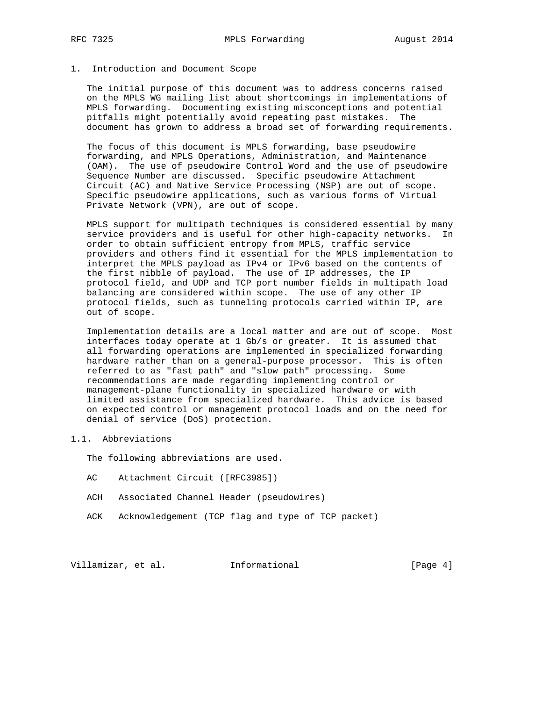### 1. Introduction and Document Scope

 The initial purpose of this document was to address concerns raised on the MPLS WG mailing list about shortcomings in implementations of MPLS forwarding. Documenting existing misconceptions and potential pitfalls might potentially avoid repeating past mistakes. The document has grown to address a broad set of forwarding requirements.

 The focus of this document is MPLS forwarding, base pseudowire forwarding, and MPLS Operations, Administration, and Maintenance (OAM). The use of pseudowire Control Word and the use of pseudowire Sequence Number are discussed. Specific pseudowire Attachment Circuit (AC) and Native Service Processing (NSP) are out of scope. Specific pseudowire applications, such as various forms of Virtual Private Network (VPN), are out of scope.

 MPLS support for multipath techniques is considered essential by many service providers and is useful for other high-capacity networks. In order to obtain sufficient entropy from MPLS, traffic service providers and others find it essential for the MPLS implementation to interpret the MPLS payload as IPv4 or IPv6 based on the contents of the first nibble of payload. The use of IP addresses, the IP protocol field, and UDP and TCP port number fields in multipath load balancing are considered within scope. The use of any other IP protocol fields, such as tunneling protocols carried within IP, are out of scope.

 Implementation details are a local matter and are out of scope. Most interfaces today operate at 1 Gb/s or greater. It is assumed that all forwarding operations are implemented in specialized forwarding hardware rather than on a general-purpose processor. This is often referred to as "fast path" and "slow path" processing. Some recommendations are made regarding implementing control or management-plane functionality in specialized hardware or with limited assistance from specialized hardware. This advice is based on expected control or management protocol loads and on the need for denial of service (DoS) protection.

## 1.1. Abbreviations

The following abbreviations are used.

- AC Attachment Circuit ([RFC3985])
- ACH Associated Channel Header (pseudowires)
- ACK Acknowledgement (TCP flag and type of TCP packet)

Villamizar, et al. Informational [Page 4]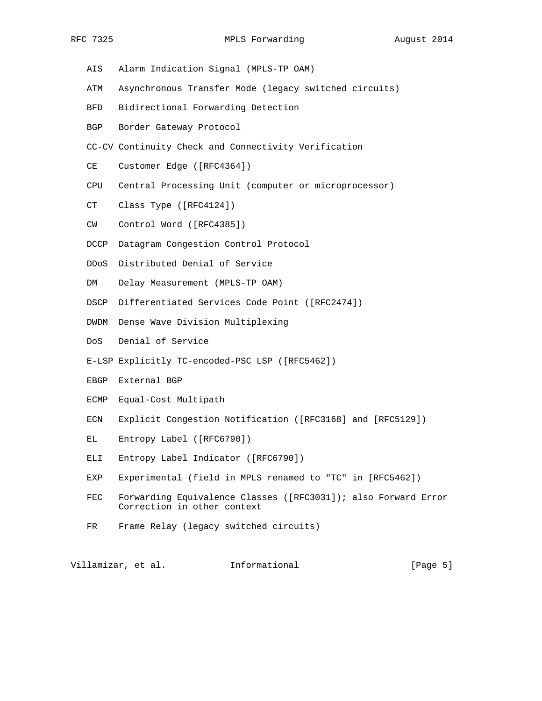- AIS Alarm Indication Signal (MPLS-TP OAM)
- ATM Asynchronous Transfer Mode (legacy switched circuits)
- BFD Bidirectional Forwarding Detection
- BGP Border Gateway Protocol
- CC-CV Continuity Check and Connectivity Verification
- CE Customer Edge ([RFC4364])
- CPU Central Processing Unit (computer or microprocessor)
- CT Class Type ([RFC4124])
- CW Control Word ([RFC4385])
- DCCP Datagram Congestion Control Protocol
- DDoS Distributed Denial of Service
- DM Delay Measurement (MPLS-TP OAM)
- DSCP Differentiated Services Code Point ([RFC2474])
- DWDM Dense Wave Division Multiplexing
- DoS Denial of Service
- E-LSP Explicitly TC-encoded-PSC LSP ([RFC5462])
- EBGP External BGP
- ECMP Equal-Cost Multipath
- ECN Explicit Congestion Notification ([RFC3168] and [RFC5129])
- EL Entropy Label ([RFC6790])
- ELI Entropy Label Indicator ([RFC6790])
- EXP Experimental (field in MPLS renamed to "TC" in [RFC5462])
- FEC Forwarding Equivalence Classes ([RFC3031]); also Forward Error Correction in other context
- FR Frame Relay (legacy switched circuits)

Villamizar, et al. Informational [Page 5]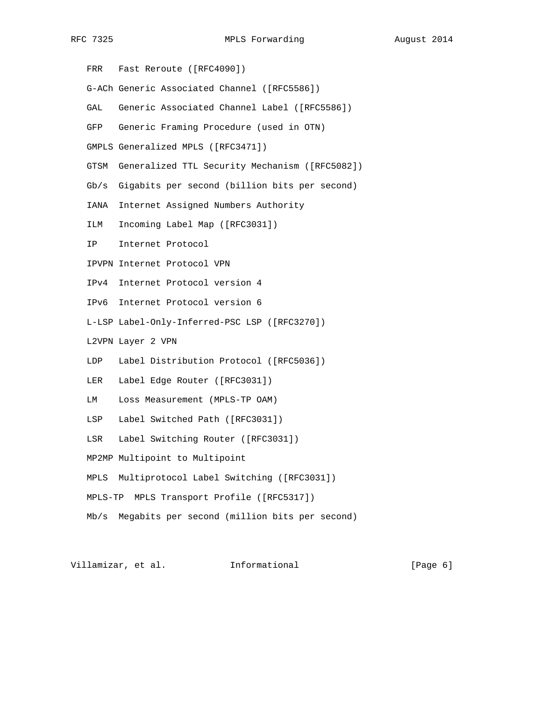FRR Fast Reroute ([RFC4090]) G-ACh Generic Associated Channel ([RFC5586]) GAL Generic Associated Channel Label ([RFC5586]) GFP Generic Framing Procedure (used in OTN) GMPLS Generalized MPLS ([RFC3471]) GTSM Generalized TTL Security Mechanism ([RFC5082]) Gb/s Gigabits per second (billion bits per second) IANA Internet Assigned Numbers Authority ILM Incoming Label Map ([RFC3031]) IP Internet Protocol IPVPN Internet Protocol VPN IPv4 Internet Protocol version 4 IPv6 Internet Protocol version 6 L-LSP Label-Only-Inferred-PSC LSP ([RFC3270]) L2VPN Layer 2 VPN LDP Label Distribution Protocol ([RFC5036]) LER Label Edge Router ([RFC3031]) LM Loss Measurement (MPLS-TP OAM) LSP Label Switched Path ([RFC3031]) LSR Label Switching Router ([RFC3031]) MP2MP Multipoint to Multipoint MPLS Multiprotocol Label Switching ([RFC3031]) MPLS-TP MPLS Transport Profile ([RFC5317]) Mb/s Megabits per second (million bits per second)

Villamizar, et al. 1nformational (Page 6)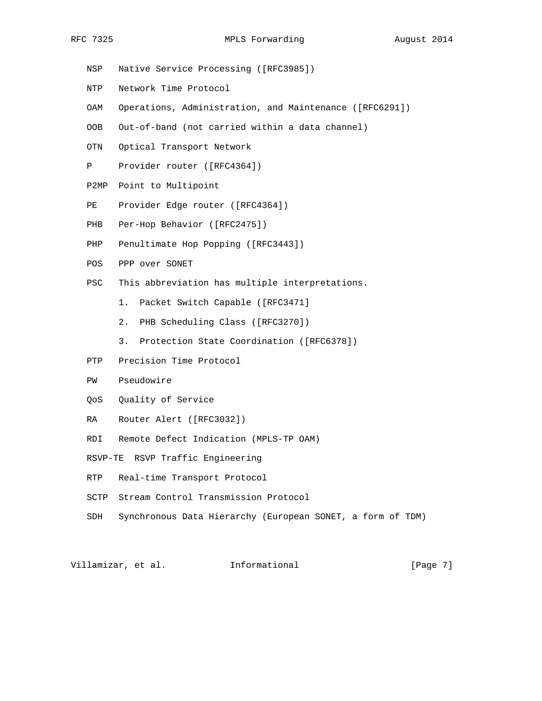- NSP Native Service Processing ([RFC3985]) NTP Network Time Protocol
- OAM Operations, Administration, and Maintenance ([RFC6291])
- OOB Out-of-band (not carried within a data channel)
- OTN Optical Transport Network
- P Provider router ([RFC4364])
- P2MP Point to Multipoint
- PE Provider Edge router ([RFC4364])
- PHB Per-Hop Behavior ([RFC2475])
- PHP Penultimate Hop Popping ([RFC3443])
- POS PPP over SONET
- PSC This abbreviation has multiple interpretations.
	- 1. Packet Switch Capable ([RFC3471]
	- 2. PHB Scheduling Class ([RFC3270])
	- 3. Protection State Coordination ([RFC6378])
- PTP Precision Time Protocol
- PW Pseudowire
- QoS Quality of Service
- RA Router Alert ([RFC3032])
- RDI Remote Defect Indication (MPLS-TP OAM)
- RSVP-TE RSVP Traffic Engineering
- RTP Real-time Transport Protocol
- SCTP Stream Control Transmission Protocol
- SDH Synchronous Data Hierarchy (European SONET, a form of TDM)

Villamizar, et al. 1nformational (Page 7)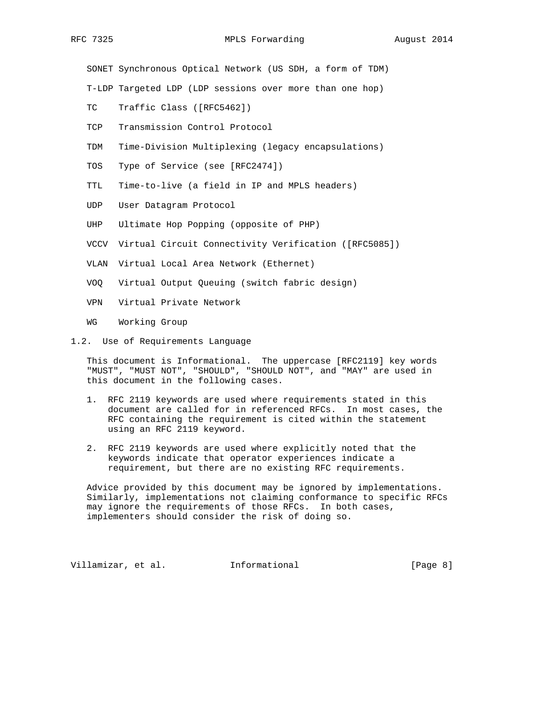SONET Synchronous Optical Network (US SDH, a form of TDM)

T-LDP Targeted LDP (LDP sessions over more than one hop)

- TC Traffic Class ([RFC5462])
- TCP Transmission Control Protocol
- TDM Time-Division Multiplexing (legacy encapsulations)
- TOS Type of Service (see [RFC2474])
- TTL Time-to-live (a field in IP and MPLS headers)
- UDP User Datagram Protocol
- UHP Ultimate Hop Popping (opposite of PHP)
- VCCV Virtual Circuit Connectivity Verification ([RFC5085])
- VLAN Virtual Local Area Network (Ethernet)
- VOQ Virtual Output Queuing (switch fabric design)
- VPN Virtual Private Network
- WG Working Group
- 1.2. Use of Requirements Language

 This document is Informational. The uppercase [RFC2119] key words "MUST", "MUST NOT", "SHOULD", "SHOULD NOT", and "MAY" are used in this document in the following cases.

- 1. RFC 2119 keywords are used where requirements stated in this document are called for in referenced RFCs. In most cases, the RFC containing the requirement is cited within the statement using an RFC 2119 keyword.
- 2. RFC 2119 keywords are used where explicitly noted that the keywords indicate that operator experiences indicate a requirement, but there are no existing RFC requirements.

 Advice provided by this document may be ignored by implementations. Similarly, implementations not claiming conformance to specific RFCs may ignore the requirements of those RFCs. In both cases, implementers should consider the risk of doing so.

Villamizar, et al. Informational [Page 8]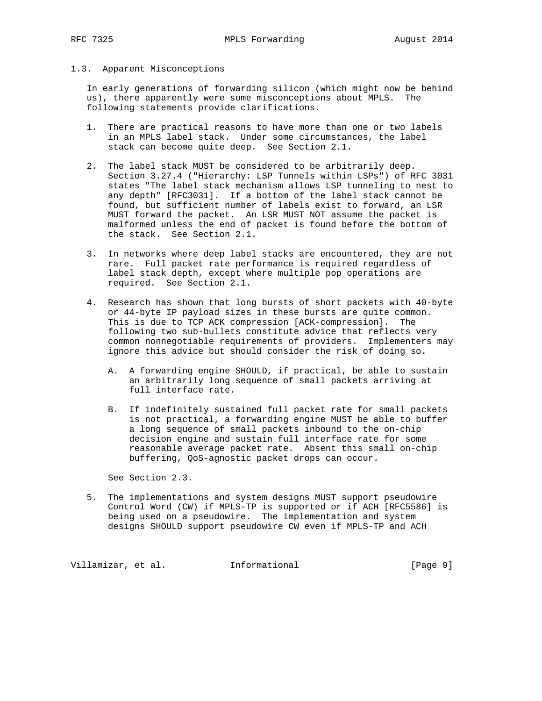### 1.3. Apparent Misconceptions

 In early generations of forwarding silicon (which might now be behind us), there apparently were some misconceptions about MPLS. The following statements provide clarifications.

- 1. There are practical reasons to have more than one or two labels in an MPLS label stack. Under some circumstances, the label stack can become quite deep. See Section 2.1.
- 2. The label stack MUST be considered to be arbitrarily deep. Section 3.27.4 ("Hierarchy: LSP Tunnels within LSPs") of RFC 3031 states "The label stack mechanism allows LSP tunneling to nest to any depth" [RFC3031]. If a bottom of the label stack cannot be found, but sufficient number of labels exist to forward, an LSR MUST forward the packet. An LSR MUST NOT assume the packet is malformed unless the end of packet is found before the bottom of the stack. See Section 2.1.
- 3. In networks where deep label stacks are encountered, they are not rare. Full packet rate performance is required regardless of label stack depth, except where multiple pop operations are required. See Section 2.1.
- 4. Research has shown that long bursts of short packets with 40-byte or 44-byte IP payload sizes in these bursts are quite common. This is due to TCP ACK compression [ACK-compression]. The following two sub-bullets constitute advice that reflects very common nonnegotiable requirements of providers. Implementers may ignore this advice but should consider the risk of doing so.
	- A. A forwarding engine SHOULD, if practical, be able to sustain an arbitrarily long sequence of small packets arriving at full interface rate.
	- B. If indefinitely sustained full packet rate for small packets is not practical, a forwarding engine MUST be able to buffer a long sequence of small packets inbound to the on-chip decision engine and sustain full interface rate for some reasonable average packet rate. Absent this small on-chip buffering, QoS-agnostic packet drops can occur.

See Section 2.3.

 5. The implementations and system designs MUST support pseudowire Control Word (CW) if MPLS-TP is supported or if ACH [RFC5586] is being used on a pseudowire. The implementation and system designs SHOULD support pseudowire CW even if MPLS-TP and ACH

Villamizar, et al. 1nformational (Page 9)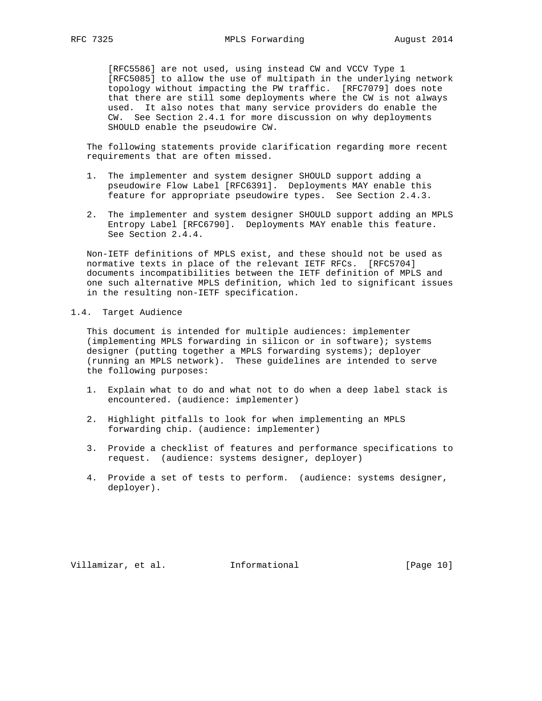[RFC5586] are not used, using instead CW and VCCV Type 1 [RFC5085] to allow the use of multipath in the underlying network topology without impacting the PW traffic. [RFC7079] does note that there are still some deployments where the CW is not always used. It also notes that many service providers do enable the CW. See Section 2.4.1 for more discussion on why deployments SHOULD enable the pseudowire CW.

 The following statements provide clarification regarding more recent requirements that are often missed.

- 1. The implementer and system designer SHOULD support adding a pseudowire Flow Label [RFC6391]. Deployments MAY enable this feature for appropriate pseudowire types. See Section 2.4.3.
- 2. The implementer and system designer SHOULD support adding an MPLS Entropy Label [RFC6790]. Deployments MAY enable this feature. See Section 2.4.4.

 Non-IETF definitions of MPLS exist, and these should not be used as normative texts in place of the relevant IETF RFCs. [RFC5704] documents incompatibilities between the IETF definition of MPLS and one such alternative MPLS definition, which led to significant issues in the resulting non-IETF specification.

### 1.4. Target Audience

 This document is intended for multiple audiences: implementer (implementing MPLS forwarding in silicon or in software); systems designer (putting together a MPLS forwarding systems); deployer (running an MPLS network). These guidelines are intended to serve the following purposes:

- 1. Explain what to do and what not to do when a deep label stack is encountered. (audience: implementer)
- 2. Highlight pitfalls to look for when implementing an MPLS forwarding chip. (audience: implementer)
- 3. Provide a checklist of features and performance specifications to request. (audience: systems designer, deployer)
- 4. Provide a set of tests to perform. (audience: systems designer, deployer).

Villamizar, et al. 1nformational (Page 10)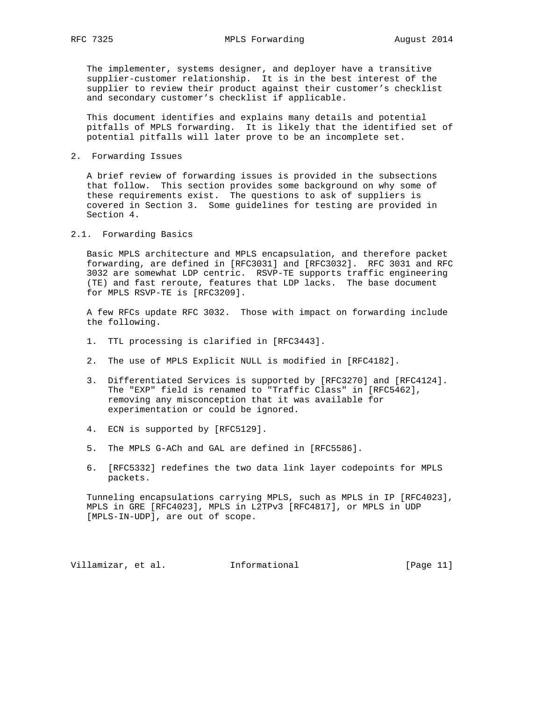The implementer, systems designer, and deployer have a transitive supplier-customer relationship. It is in the best interest of the supplier to review their product against their customer's checklist and secondary customer's checklist if applicable.

 This document identifies and explains many details and potential pitfalls of MPLS forwarding. It is likely that the identified set of potential pitfalls will later prove to be an incomplete set.

2. Forwarding Issues

 A brief review of forwarding issues is provided in the subsections that follow. This section provides some background on why some of these requirements exist. The questions to ask of suppliers is covered in Section 3. Some guidelines for testing are provided in Section 4.

2.1. Forwarding Basics

 Basic MPLS architecture and MPLS encapsulation, and therefore packet forwarding, are defined in [RFC3031] and [RFC3032]. RFC 3031 and RFC 3032 are somewhat LDP centric. RSVP-TE supports traffic engineering (TE) and fast reroute, features that LDP lacks. The base document for MPLS RSVP-TE is [RFC3209].

 A few RFCs update RFC 3032. Those with impact on forwarding include the following.

- 1. TTL processing is clarified in [RFC3443].
- 2. The use of MPLS Explicit NULL is modified in [RFC4182].
- 3. Differentiated Services is supported by [RFC3270] and [RFC4124]. The "EXP" field is renamed to "Traffic Class" in [RFC5462], removing any misconception that it was available for experimentation or could be ignored.
- 4. ECN is supported by [RFC5129].
- 5. The MPLS G-ACh and GAL are defined in [RFC5586].
- 6. [RFC5332] redefines the two data link layer codepoints for MPLS packets.

 Tunneling encapsulations carrying MPLS, such as MPLS in IP [RFC4023], MPLS in GRE [RFC4023], MPLS in L2TPv3 [RFC4817], or MPLS in UDP [MPLS-IN-UDP], are out of scope.

Villamizar, et al. 1nformational [Page 11]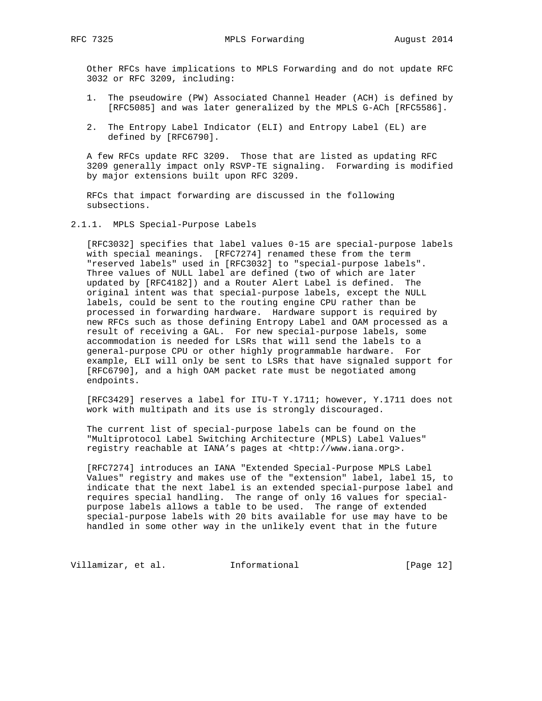Other RFCs have implications to MPLS Forwarding and do not update RFC 3032 or RFC 3209, including:

- 1. The pseudowire (PW) Associated Channel Header (ACH) is defined by [RFC5085] and was later generalized by the MPLS G-ACh [RFC5586].
- 2. The Entropy Label Indicator (ELI) and Entropy Label (EL) are defined by [RFC6790].

 A few RFCs update RFC 3209. Those that are listed as updating RFC 3209 generally impact only RSVP-TE signaling. Forwarding is modified by major extensions built upon RFC 3209.

 RFCs that impact forwarding are discussed in the following subsections.

2.1.1. MPLS Special-Purpose Labels

 [RFC3032] specifies that label values 0-15 are special-purpose labels with special meanings. [RFC7274] renamed these from the term "reserved labels" used in [RFC3032] to "special-purpose labels". Three values of NULL label are defined (two of which are later updated by [RFC4182]) and a Router Alert Label is defined. The original intent was that special-purpose labels, except the NULL labels, could be sent to the routing engine CPU rather than be processed in forwarding hardware. Hardware support is required by new RFCs such as those defining Entropy Label and OAM processed as a result of receiving a GAL. For new special-purpose labels, some accommodation is needed for LSRs that will send the labels to a general-purpose CPU or other highly programmable hardware. For example, ELI will only be sent to LSRs that have signaled support for [RFC6790], and a high OAM packet rate must be negotiated among endpoints.

 [RFC3429] reserves a label for ITU-T Y.1711; however, Y.1711 does not work with multipath and its use is strongly discouraged.

 The current list of special-purpose labels can be found on the "Multiprotocol Label Switching Architecture (MPLS) Label Values" registry reachable at IANA's pages at <http://www.iana.org>.

 [RFC7274] introduces an IANA "Extended Special-Purpose MPLS Label Values" registry and makes use of the "extension" label, label 15, to indicate that the next label is an extended special-purpose label and requires special handling. The range of only 16 values for special purpose labels allows a table to be used. The range of extended special-purpose labels with 20 bits available for use may have to be handled in some other way in the unlikely event that in the future

Villamizar, et al. 1nformational (Page 12)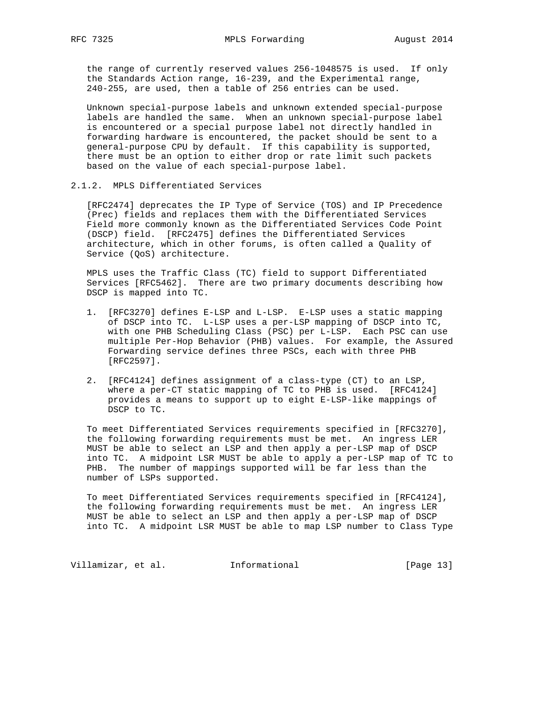the range of currently reserved values 256-1048575 is used. If only the Standards Action range, 16-239, and the Experimental range, 240-255, are used, then a table of 256 entries can be used.

 Unknown special-purpose labels and unknown extended special-purpose labels are handled the same. When an unknown special-purpose label is encountered or a special purpose label not directly handled in forwarding hardware is encountered, the packet should be sent to a general-purpose CPU by default. If this capability is supported, there must be an option to either drop or rate limit such packets based on the value of each special-purpose label.

2.1.2. MPLS Differentiated Services

 [RFC2474] deprecates the IP Type of Service (TOS) and IP Precedence (Prec) fields and replaces them with the Differentiated Services Field more commonly known as the Differentiated Services Code Point (DSCP) field. [RFC2475] defines the Differentiated Services architecture, which in other forums, is often called a Quality of Service (QoS) architecture.

 MPLS uses the Traffic Class (TC) field to support Differentiated Services [RFC5462]. There are two primary documents describing how DSCP is mapped into TC.

- 1. [RFC3270] defines E-LSP and L-LSP. E-LSP uses a static mapping of DSCP into TC. L-LSP uses a per-LSP mapping of DSCP into TC, with one PHB Scheduling Class (PSC) per L-LSP. Each PSC can use multiple Per-Hop Behavior (PHB) values. For example, the Assured Forwarding service defines three PSCs, each with three PHB [RFC2597].
- 2. [RFC4124] defines assignment of a class-type (CT) to an LSP, where a per-CT static mapping of TC to PHB is used. [RFC4124] provides a means to support up to eight E-LSP-like mappings of DSCP to TC.

 To meet Differentiated Services requirements specified in [RFC3270], the following forwarding requirements must be met. An ingress LER MUST be able to select an LSP and then apply a per-LSP map of DSCP into TC. A midpoint LSR MUST be able to apply a per-LSP map of TC to PHB. The number of mappings supported will be far less than the number of LSPs supported.

 To meet Differentiated Services requirements specified in [RFC4124], the following forwarding requirements must be met. An ingress LER MUST be able to select an LSP and then apply a per-LSP map of DSCP into TC. A midpoint LSR MUST be able to map LSP number to Class Type

Villamizar, et al. 1nformational [Page 13]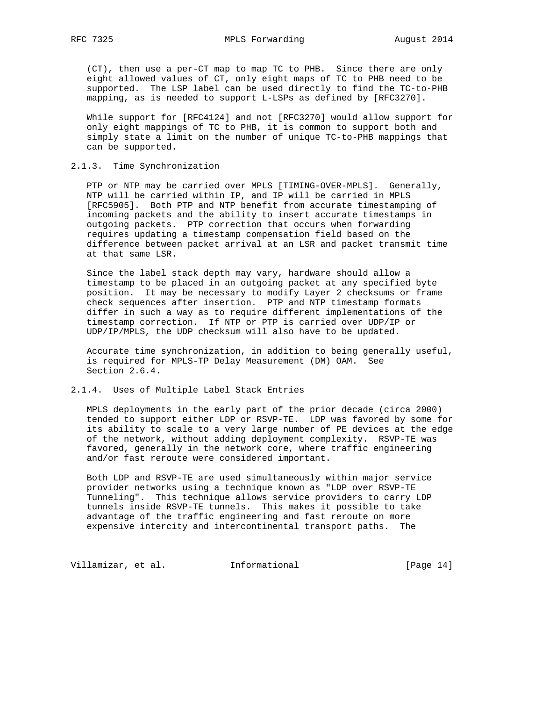(CT), then use a per-CT map to map TC to PHB. Since there are only eight allowed values of CT, only eight maps of TC to PHB need to be supported. The LSP label can be used directly to find the TC-to-PHB mapping, as is needed to support L-LSPs as defined by [RFC3270].

 While support for [RFC4124] and not [RFC3270] would allow support for only eight mappings of TC to PHB, it is common to support both and simply state a limit on the number of unique TC-to-PHB mappings that can be supported.

### 2.1.3. Time Synchronization

 PTP or NTP may be carried over MPLS [TIMING-OVER-MPLS]. Generally, NTP will be carried within IP, and IP will be carried in MPLS [RFC5905]. Both PTP and NTP benefit from accurate timestamping of incoming packets and the ability to insert accurate timestamps in outgoing packets. PTP correction that occurs when forwarding requires updating a timestamp compensation field based on the difference between packet arrival at an LSR and packet transmit time at that same LSR.

 Since the label stack depth may vary, hardware should allow a timestamp to be placed in an outgoing packet at any specified byte position. It may be necessary to modify Layer 2 checksums or frame check sequences after insertion. PTP and NTP timestamp formats differ in such a way as to require different implementations of the timestamp correction. If NTP or PTP is carried over UDP/IP or UDP/IP/MPLS, the UDP checksum will also have to be updated.

 Accurate time synchronization, in addition to being generally useful, is required for MPLS-TP Delay Measurement (DM) OAM. See Section 2.6.4.

## 2.1.4. Uses of Multiple Label Stack Entries

 MPLS deployments in the early part of the prior decade (circa 2000) tended to support either LDP or RSVP-TE. LDP was favored by some for its ability to scale to a very large number of PE devices at the edge of the network, without adding deployment complexity. RSVP-TE was favored, generally in the network core, where traffic engineering and/or fast reroute were considered important.

 Both LDP and RSVP-TE are used simultaneously within major service provider networks using a technique known as "LDP over RSVP-TE Tunneling". This technique allows service providers to carry LDP tunnels inside RSVP-TE tunnels. This makes it possible to take advantage of the traffic engineering and fast reroute on more expensive intercity and intercontinental transport paths. The

Villamizar, et al. 1nformational (Page 14)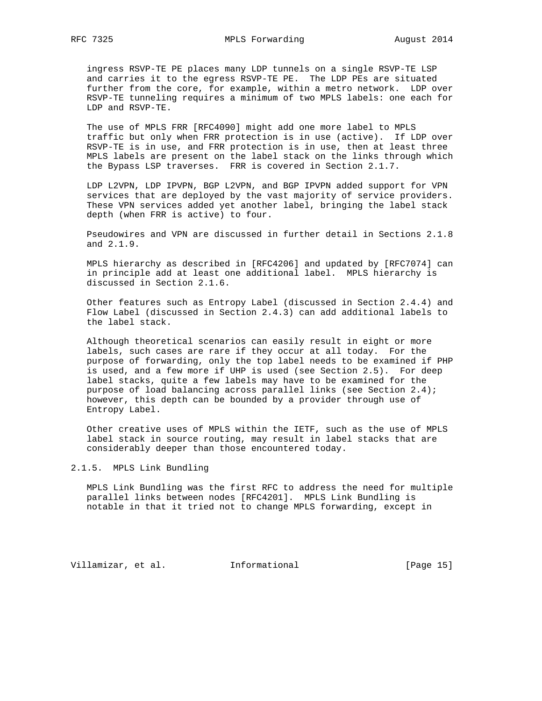ingress RSVP-TE PE places many LDP tunnels on a single RSVP-TE LSP and carries it to the egress RSVP-TE PE. The LDP PEs are situated further from the core, for example, within a metro network. LDP over RSVP-TE tunneling requires a minimum of two MPLS labels: one each for LDP and RSVP-TE.

 The use of MPLS FRR [RFC4090] might add one more label to MPLS traffic but only when FRR protection is in use (active). If LDP over RSVP-TE is in use, and FRR protection is in use, then at least three MPLS labels are present on the label stack on the links through which the Bypass LSP traverses. FRR is covered in Section 2.1.7.

 LDP L2VPN, LDP IPVPN, BGP L2VPN, and BGP IPVPN added support for VPN services that are deployed by the vast majority of service providers. These VPN services added yet another label, bringing the label stack depth (when FRR is active) to four.

 Pseudowires and VPN are discussed in further detail in Sections 2.1.8 and 2.1.9.

 MPLS hierarchy as described in [RFC4206] and updated by [RFC7074] can in principle add at least one additional label. MPLS hierarchy is discussed in Section 2.1.6.

 Other features such as Entropy Label (discussed in Section 2.4.4) and Flow Label (discussed in Section 2.4.3) can add additional labels to the label stack.

 Although theoretical scenarios can easily result in eight or more labels, such cases are rare if they occur at all today. For the purpose of forwarding, only the top label needs to be examined if PHP is used, and a few more if UHP is used (see Section 2.5). For deep label stacks, quite a few labels may have to be examined for the purpose of load balancing across parallel links (see Section 2.4); however, this depth can be bounded by a provider through use of Entropy Label.

 Other creative uses of MPLS within the IETF, such as the use of MPLS label stack in source routing, may result in label stacks that are considerably deeper than those encountered today.

## 2.1.5. MPLS Link Bundling

 MPLS Link Bundling was the first RFC to address the need for multiple parallel links between nodes [RFC4201]. MPLS Link Bundling is notable in that it tried not to change MPLS forwarding, except in

Villamizar, et al. 1nformational [Page 15]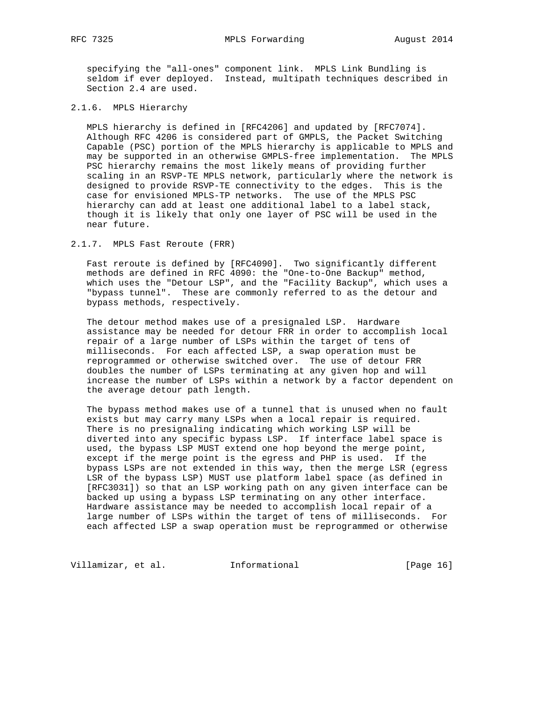specifying the "all-ones" component link. MPLS Link Bundling is seldom if ever deployed. Instead, multipath techniques described in Section 2.4 are used.

## 2.1.6. MPLS Hierarchy

 MPLS hierarchy is defined in [RFC4206] and updated by [RFC7074]. Although RFC 4206 is considered part of GMPLS, the Packet Switching Capable (PSC) portion of the MPLS hierarchy is applicable to MPLS and may be supported in an otherwise GMPLS-free implementation. The MPLS PSC hierarchy remains the most likely means of providing further scaling in an RSVP-TE MPLS network, particularly where the network is designed to provide RSVP-TE connectivity to the edges. This is the case for envisioned MPLS-TP networks. The use of the MPLS PSC hierarchy can add at least one additional label to a label stack, though it is likely that only one layer of PSC will be used in the near future.

2.1.7. MPLS Fast Reroute (FRR)

 Fast reroute is defined by [RFC4090]. Two significantly different methods are defined in RFC 4090: the "One-to-One Backup" method, which uses the "Detour LSP", and the "Facility Backup", which uses a "bypass tunnel". These are commonly referred to as the detour and bypass methods, respectively.

 The detour method makes use of a presignaled LSP. Hardware assistance may be needed for detour FRR in order to accomplish local repair of a large number of LSPs within the target of tens of milliseconds. For each affected LSP, a swap operation must be reprogrammed or otherwise switched over. The use of detour FRR doubles the number of LSPs terminating at any given hop and will increase the number of LSPs within a network by a factor dependent on the average detour path length.

 The bypass method makes use of a tunnel that is unused when no fault exists but may carry many LSPs when a local repair is required. There is no presignaling indicating which working LSP will be diverted into any specific bypass LSP. If interface label space is used, the bypass LSP MUST extend one hop beyond the merge point, except if the merge point is the egress and PHP is used. If the bypass LSPs are not extended in this way, then the merge LSR (egress LSR of the bypass LSP) MUST use platform label space (as defined in [RFC3031]) so that an LSP working path on any given interface can be backed up using a bypass LSP terminating on any other interface. Hardware assistance may be needed to accomplish local repair of a large number of LSPs within the target of tens of milliseconds. For each affected LSP a swap operation must be reprogrammed or otherwise

Villamizar, et al. 1nformational [Page 16]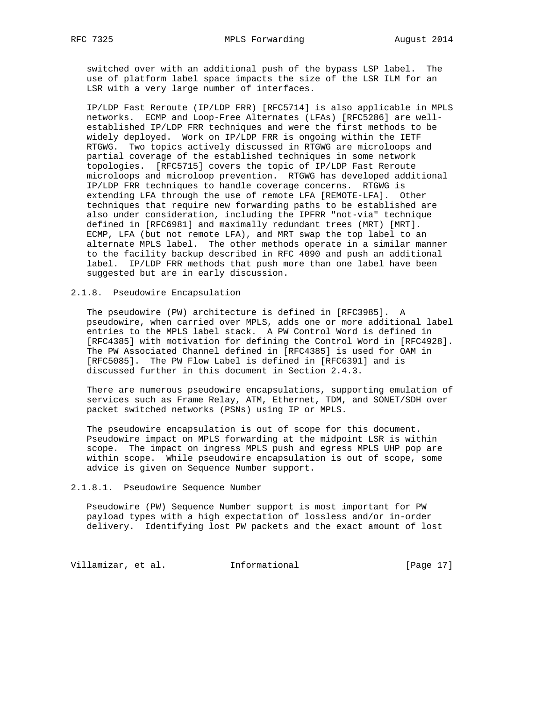switched over with an additional push of the bypass LSP label. The use of platform label space impacts the size of the LSR ILM for an LSR with a very large number of interfaces.

 IP/LDP Fast Reroute (IP/LDP FRR) [RFC5714] is also applicable in MPLS networks. ECMP and Loop-Free Alternates (LFAs) [RFC5286] are well established IP/LDP FRR techniques and were the first methods to be widely deployed. Work on IP/LDP FRR is ongoing within the IETF RTGWG. Two topics actively discussed in RTGWG are microloops and partial coverage of the established techniques in some network topologies. [RFC5715] covers the topic of IP/LDP Fast Reroute microloops and microloop prevention. RTGWG has developed additional IP/LDP FRR techniques to handle coverage concerns. RTGWG is extending LFA through the use of remote LFA [REMOTE-LFA]. Other techniques that require new forwarding paths to be established are also under consideration, including the IPFRR "not-via" technique defined in [RFC6981] and maximally redundant trees (MRT) [MRT]. ECMP, LFA (but not remote LFA), and MRT swap the top label to an alternate MPLS label. The other methods operate in a similar manner to the facility backup described in RFC 4090 and push an additional label. IP/LDP FRR methods that push more than one label have been suggested but are in early discussion.

### 2.1.8. Pseudowire Encapsulation

 The pseudowire (PW) architecture is defined in [RFC3985]. A pseudowire, when carried over MPLS, adds one or more additional label entries to the MPLS label stack. A PW Control Word is defined in [RFC4385] with motivation for defining the Control Word in [RFC4928]. The PW Associated Channel defined in [RFC4385] is used for OAM in [RFC5085]. The PW Flow Label is defined in [RFC6391] and is discussed further in this document in Section 2.4.3.

 There are numerous pseudowire encapsulations, supporting emulation of services such as Frame Relay, ATM, Ethernet, TDM, and SONET/SDH over packet switched networks (PSNs) using IP or MPLS.

 The pseudowire encapsulation is out of scope for this document. Pseudowire impact on MPLS forwarding at the midpoint LSR is within scope. The impact on ingress MPLS push and egress MPLS UHP pop are within scope. While pseudowire encapsulation is out of scope, some advice is given on Sequence Number support.

### 2.1.8.1. Pseudowire Sequence Number

 Pseudowire (PW) Sequence Number support is most important for PW payload types with a high expectation of lossless and/or in-order delivery. Identifying lost PW packets and the exact amount of lost

Villamizar, et al. 1nformational [Page 17]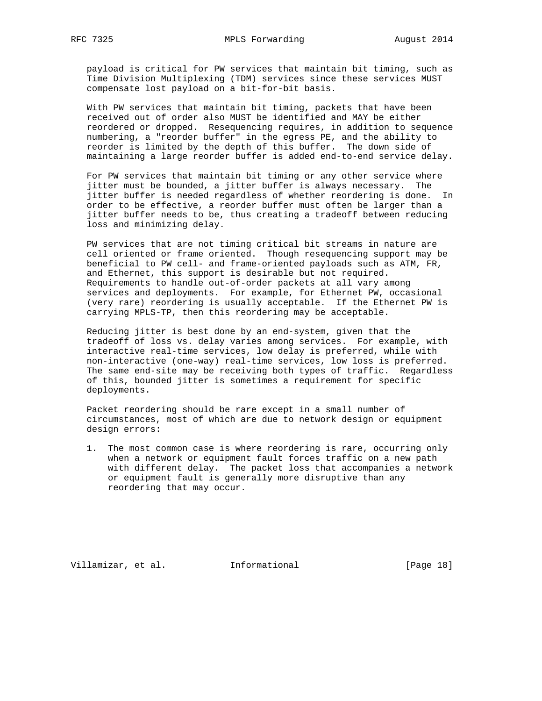payload is critical for PW services that maintain bit timing, such as Time Division Multiplexing (TDM) services since these services MUST compensate lost payload on a bit-for-bit basis.

 With PW services that maintain bit timing, packets that have been received out of order also MUST be identified and MAY be either reordered or dropped. Resequencing requires, in addition to sequence numbering, a "reorder buffer" in the egress PE, and the ability to reorder is limited by the depth of this buffer. The down side of maintaining a large reorder buffer is added end-to-end service delay.

 For PW services that maintain bit timing or any other service where jitter must be bounded, a jitter buffer is always necessary. The jitter buffer is needed regardless of whether reordering is done. In order to be effective, a reorder buffer must often be larger than a jitter buffer needs to be, thus creating a tradeoff between reducing loss and minimizing delay.

 PW services that are not timing critical bit streams in nature are cell oriented or frame oriented. Though resequencing support may be beneficial to PW cell- and frame-oriented payloads such as ATM, FR, and Ethernet, this support is desirable but not required. Requirements to handle out-of-order packets at all vary among services and deployments. For example, for Ethernet PW, occasional (very rare) reordering is usually acceptable. If the Ethernet PW is carrying MPLS-TP, then this reordering may be acceptable.

 Reducing jitter is best done by an end-system, given that the tradeoff of loss vs. delay varies among services. For example, with interactive real-time services, low delay is preferred, while with non-interactive (one-way) real-time services, low loss is preferred. The same end-site may be receiving both types of traffic. Regardless of this, bounded jitter is sometimes a requirement for specific deployments.

 Packet reordering should be rare except in a small number of circumstances, most of which are due to network design or equipment design errors:

 1. The most common case is where reordering is rare, occurring only when a network or equipment fault forces traffic on a new path with different delay. The packet loss that accompanies a network or equipment fault is generally more disruptive than any reordering that may occur.

Villamizar, et al. 1nformational [Page 18]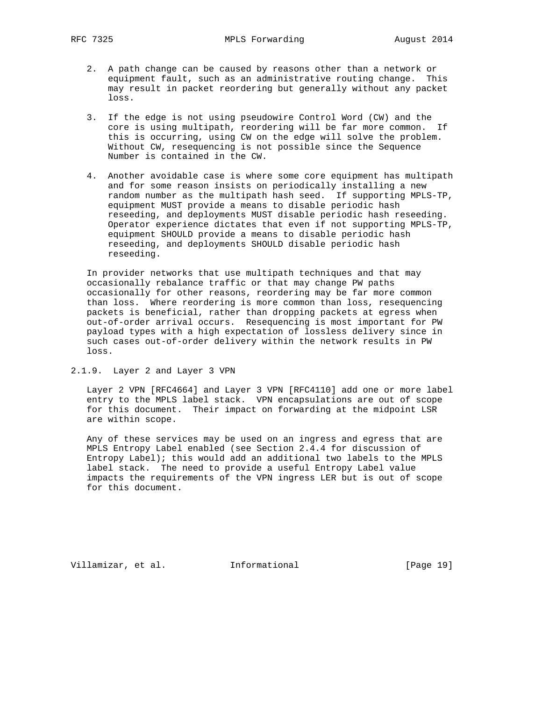RFC 7325 MPLS Forwarding August 2014

- 2. A path change can be caused by reasons other than a network or equipment fault, such as an administrative routing change. This may result in packet reordering but generally without any packet loss.
- 3. If the edge is not using pseudowire Control Word (CW) and the core is using multipath, reordering will be far more common. If this is occurring, using CW on the edge will solve the problem. Without CW, resequencing is not possible since the Sequence Number is contained in the CW.
- 4. Another avoidable case is where some core equipment has multipath and for some reason insists on periodically installing a new random number as the multipath hash seed. If supporting MPLS-TP, equipment MUST provide a means to disable periodic hash reseeding, and deployments MUST disable periodic hash reseeding. Operator experience dictates that even if not supporting MPLS-TP, equipment SHOULD provide a means to disable periodic hash reseeding, and deployments SHOULD disable periodic hash reseeding.

 In provider networks that use multipath techniques and that may occasionally rebalance traffic or that may change PW paths occasionally for other reasons, reordering may be far more common than loss. Where reordering is more common than loss, resequencing packets is beneficial, rather than dropping packets at egress when out-of-order arrival occurs. Resequencing is most important for PW payload types with a high expectation of lossless delivery since in such cases out-of-order delivery within the network results in PW loss.

2.1.9. Layer 2 and Layer 3 VPN

 Layer 2 VPN [RFC4664] and Layer 3 VPN [RFC4110] add one or more label entry to the MPLS label stack. VPN encapsulations are out of scope for this document. Their impact on forwarding at the midpoint LSR are within scope.

 Any of these services may be used on an ingress and egress that are MPLS Entropy Label enabled (see Section 2.4.4 for discussion of Entropy Label); this would add an additional two labels to the MPLS label stack. The need to provide a useful Entropy Label value impacts the requirements of the VPN ingress LER but is out of scope for this document.

Villamizar, et al. 1nformational [Page 19]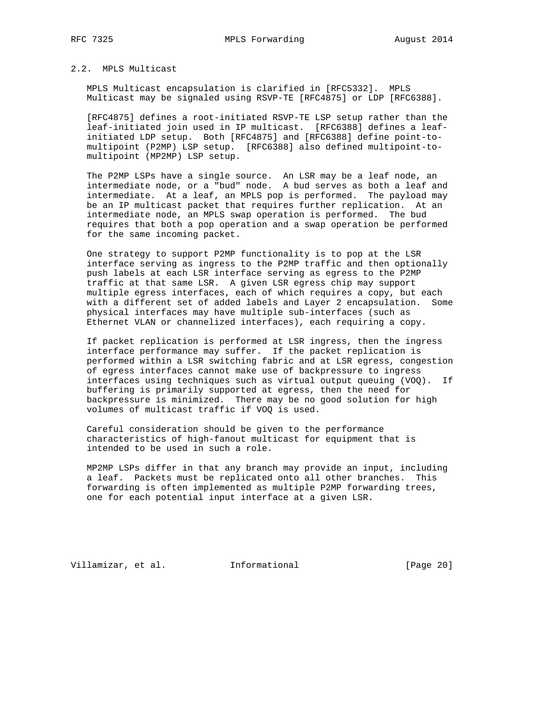### 2.2. MPLS Multicast

 MPLS Multicast encapsulation is clarified in [RFC5332]. MPLS Multicast may be signaled using RSVP-TE [RFC4875] or LDP [RFC6388].

 [RFC4875] defines a root-initiated RSVP-TE LSP setup rather than the leaf-initiated join used in IP multicast. [RFC6388] defines a leaf initiated LDP setup. Both [RFC4875] and [RFC6388] define point-to multipoint (P2MP) LSP setup. [RFC6388] also defined multipoint-to multipoint (MP2MP) LSP setup.

 The P2MP LSPs have a single source. An LSR may be a leaf node, an intermediate node, or a "bud" node. A bud serves as both a leaf and intermediate. At a leaf, an MPLS pop is performed. The payload may be an IP multicast packet that requires further replication. At an intermediate node, an MPLS swap operation is performed. The bud requires that both a pop operation and a swap operation be performed for the same incoming packet.

 One strategy to support P2MP functionality is to pop at the LSR interface serving as ingress to the P2MP traffic and then optionally push labels at each LSR interface serving as egress to the P2MP traffic at that same LSR. A given LSR egress chip may support multiple egress interfaces, each of which requires a copy, but each with a different set of added labels and Layer 2 encapsulation. Some physical interfaces may have multiple sub-interfaces (such as Ethernet VLAN or channelized interfaces), each requiring a copy.

 If packet replication is performed at LSR ingress, then the ingress interface performance may suffer. If the packet replication is performed within a LSR switching fabric and at LSR egress, congestion of egress interfaces cannot make use of backpressure to ingress interfaces using techniques such as virtual output queuing (VOQ). If buffering is primarily supported at egress, then the need for backpressure is minimized. There may be no good solution for high volumes of multicast traffic if VOQ is used.

 Careful consideration should be given to the performance characteristics of high-fanout multicast for equipment that is intended to be used in such a role.

 MP2MP LSPs differ in that any branch may provide an input, including a leaf. Packets must be replicated onto all other branches. This forwarding is often implemented as multiple P2MP forwarding trees, one for each potential input interface at a given LSR.

Villamizar, et al. 1nformational [Page 20]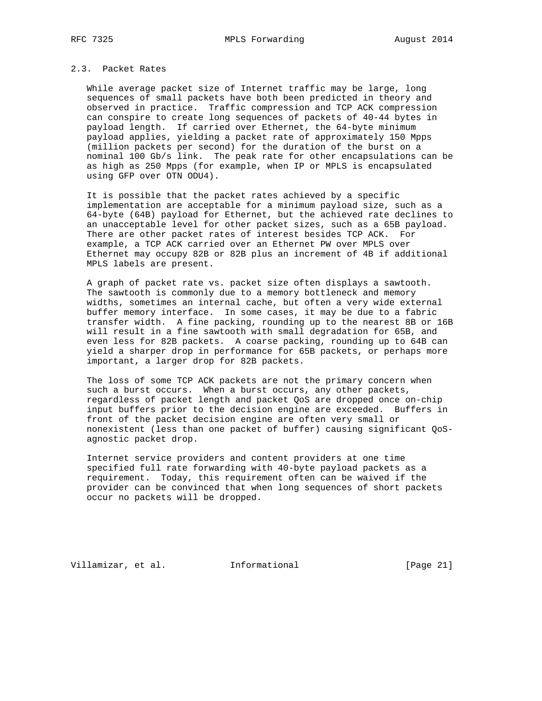## 2.3. Packet Rates

 While average packet size of Internet traffic may be large, long sequences of small packets have both been predicted in theory and observed in practice. Traffic compression and TCP ACK compression can conspire to create long sequences of packets of 40-44 bytes in payload length. If carried over Ethernet, the 64-byte minimum payload applies, yielding a packet rate of approximately 150 Mpps (million packets per second) for the duration of the burst on a nominal 100 Gb/s link. The peak rate for other encapsulations can be as high as 250 Mpps (for example, when IP or MPLS is encapsulated using GFP over OTN ODU4).

 It is possible that the packet rates achieved by a specific implementation are acceptable for a minimum payload size, such as a 64-byte (64B) payload for Ethernet, but the achieved rate declines to an unacceptable level for other packet sizes, such as a 65B payload. There are other packet rates of interest besides TCP ACK. For example, a TCP ACK carried over an Ethernet PW over MPLS over Ethernet may occupy 82B or 82B plus an increment of 4B if additional MPLS labels are present.

 A graph of packet rate vs. packet size often displays a sawtooth. The sawtooth is commonly due to a memory bottleneck and memory widths, sometimes an internal cache, but often a very wide external buffer memory interface. In some cases, it may be due to a fabric transfer width. A fine packing, rounding up to the nearest 8B or 16B will result in a fine sawtooth with small degradation for 65B, and even less for 82B packets. A coarse packing, rounding up to 64B can yield a sharper drop in performance for 65B packets, or perhaps more important, a larger drop for 82B packets.

 The loss of some TCP ACK packets are not the primary concern when such a burst occurs. When a burst occurs, any other packets, regardless of packet length and packet QoS are dropped once on-chip input buffers prior to the decision engine are exceeded. Buffers in front of the packet decision engine are often very small or nonexistent (less than one packet of buffer) causing significant QoS agnostic packet drop.

 Internet service providers and content providers at one time specified full rate forwarding with 40-byte payload packets as a requirement. Today, this requirement often can be waived if the provider can be convinced that when long sequences of short packets occur no packets will be dropped.

Villamizar, et al. 1nformational [Page 21]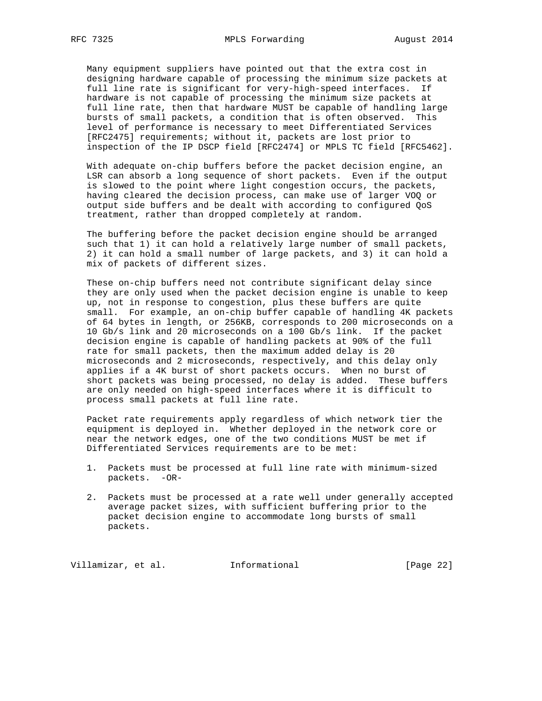Many equipment suppliers have pointed out that the extra cost in designing hardware capable of processing the minimum size packets at full line rate is significant for very-high-speed interfaces. If hardware is not capable of processing the minimum size packets at full line rate, then that hardware MUST be capable of handling large bursts of small packets, a condition that is often observed. This level of performance is necessary to meet Differentiated Services [RFC2475] requirements; without it, packets are lost prior to inspection of the IP DSCP field [RFC2474] or MPLS TC field [RFC5462].

 With adequate on-chip buffers before the packet decision engine, an LSR can absorb a long sequence of short packets. Even if the output is slowed to the point where light congestion occurs, the packets, having cleared the decision process, can make use of larger VOQ or output side buffers and be dealt with according to configured QoS treatment, rather than dropped completely at random.

 The buffering before the packet decision engine should be arranged such that 1) it can hold a relatively large number of small packets, 2) it can hold a small number of large packets, and 3) it can hold a mix of packets of different sizes.

 These on-chip buffers need not contribute significant delay since they are only used when the packet decision engine is unable to keep up, not in response to congestion, plus these buffers are quite small. For example, an on-chip buffer capable of handling 4K packets of 64 bytes in length, or 256KB, corresponds to 200 microseconds on a 10 Gb/s link and 20 microseconds on a 100 Gb/s link. If the packet decision engine is capable of handling packets at 90% of the full rate for small packets, then the maximum added delay is 20 microseconds and 2 microseconds, respectively, and this delay only applies if a 4K burst of short packets occurs. When no burst of short packets was being processed, no delay is added. These buffers are only needed on high-speed interfaces where it is difficult to process small packets at full line rate.

 Packet rate requirements apply regardless of which network tier the equipment is deployed in. Whether deployed in the network core or near the network edges, one of the two conditions MUST be met if Differentiated Services requirements are to be met:

- 1. Packets must be processed at full line rate with minimum-sized packets. -OR-
- 2. Packets must be processed at a rate well under generally accepted average packet sizes, with sufficient buffering prior to the packet decision engine to accommodate long bursts of small packets.

Villamizar, et al. 1nformational [Page 22]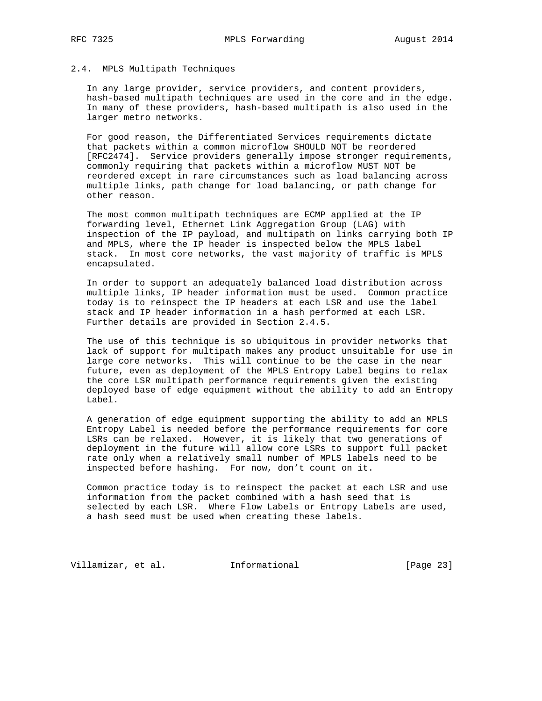## 2.4. MPLS Multipath Techniques

 In any large provider, service providers, and content providers, hash-based multipath techniques are used in the core and in the edge. In many of these providers, hash-based multipath is also used in the larger metro networks.

 For good reason, the Differentiated Services requirements dictate that packets within a common microflow SHOULD NOT be reordered [RFC2474]. Service providers generally impose stronger requirements, commonly requiring that packets within a microflow MUST NOT be reordered except in rare circumstances such as load balancing across multiple links, path change for load balancing, or path change for other reason.

 The most common multipath techniques are ECMP applied at the IP forwarding level, Ethernet Link Aggregation Group (LAG) with inspection of the IP payload, and multipath on links carrying both IP and MPLS, where the IP header is inspected below the MPLS label stack. In most core networks, the vast majority of traffic is MPLS encapsulated.

 In order to support an adequately balanced load distribution across multiple links, IP header information must be used. Common practice today is to reinspect the IP headers at each LSR and use the label stack and IP header information in a hash performed at each LSR. Further details are provided in Section 2.4.5.

 The use of this technique is so ubiquitous in provider networks that lack of support for multipath makes any product unsuitable for use in large core networks. This will continue to be the case in the near future, even as deployment of the MPLS Entropy Label begins to relax the core LSR multipath performance requirements given the existing deployed base of edge equipment without the ability to add an Entropy Label.

 A generation of edge equipment supporting the ability to add an MPLS Entropy Label is needed before the performance requirements for core LSRs can be relaxed. However, it is likely that two generations of deployment in the future will allow core LSRs to support full packet rate only when a relatively small number of MPLS labels need to be inspected before hashing. For now, don't count on it.

 Common practice today is to reinspect the packet at each LSR and use information from the packet combined with a hash seed that is selected by each LSR. Where Flow Labels or Entropy Labels are used, a hash seed must be used when creating these labels.

Villamizar, et al. 1nformational [Page 23]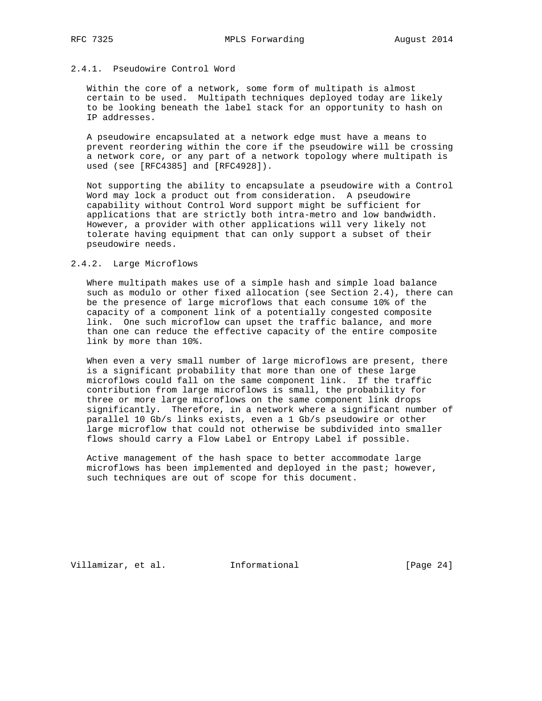## 2.4.1. Pseudowire Control Word

 Within the core of a network, some form of multipath is almost certain to be used. Multipath techniques deployed today are likely to be looking beneath the label stack for an opportunity to hash on IP addresses.

 A pseudowire encapsulated at a network edge must have a means to prevent reordering within the core if the pseudowire will be crossing a network core, or any part of a network topology where multipath is used (see [RFC4385] and [RFC4928]).

 Not supporting the ability to encapsulate a pseudowire with a Control Word may lock a product out from consideration. A pseudowire capability without Control Word support might be sufficient for applications that are strictly both intra-metro and low bandwidth. However, a provider with other applications will very likely not tolerate having equipment that can only support a subset of their pseudowire needs.

### 2.4.2. Large Microflows

 Where multipath makes use of a simple hash and simple load balance such as modulo or other fixed allocation (see Section 2.4), there can be the presence of large microflows that each consume 10% of the capacity of a component link of a potentially congested composite link. One such microflow can upset the traffic balance, and more than one can reduce the effective capacity of the entire composite link by more than 10%.

 When even a very small number of large microflows are present, there is a significant probability that more than one of these large microflows could fall on the same component link. If the traffic contribution from large microflows is small, the probability for three or more large microflows on the same component link drops significantly. Therefore, in a network where a significant number of parallel 10 Gb/s links exists, even a 1 Gb/s pseudowire or other large microflow that could not otherwise be subdivided into smaller flows should carry a Flow Label or Entropy Label if possible.

 Active management of the hash space to better accommodate large microflows has been implemented and deployed in the past; however, such techniques are out of scope for this document.

Villamizar, et al. 1nformational [Page 24]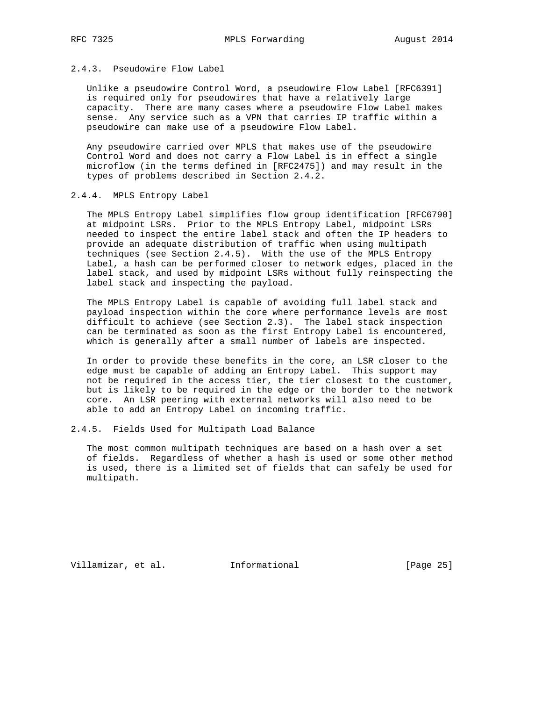## 2.4.3. Pseudowire Flow Label

 Unlike a pseudowire Control Word, a pseudowire Flow Label [RFC6391] is required only for pseudowires that have a relatively large capacity. There are many cases where a pseudowire Flow Label makes sense. Any service such as a VPN that carries IP traffic within a pseudowire can make use of a pseudowire Flow Label.

 Any pseudowire carried over MPLS that makes use of the pseudowire Control Word and does not carry a Flow Label is in effect a single microflow (in the terms defined in [RFC2475]) and may result in the types of problems described in Section 2.4.2.

### 2.4.4. MPLS Entropy Label

 The MPLS Entropy Label simplifies flow group identification [RFC6790] at midpoint LSRs. Prior to the MPLS Entropy Label, midpoint LSRs needed to inspect the entire label stack and often the IP headers to provide an adequate distribution of traffic when using multipath techniques (see Section 2.4.5). With the use of the MPLS Entropy Label, a hash can be performed closer to network edges, placed in the label stack, and used by midpoint LSRs without fully reinspecting the label stack and inspecting the payload.

 The MPLS Entropy Label is capable of avoiding full label stack and payload inspection within the core where performance levels are most difficult to achieve (see Section 2.3). The label stack inspection can be terminated as soon as the first Entropy Label is encountered, which is generally after a small number of labels are inspected.

 In order to provide these benefits in the core, an LSR closer to the edge must be capable of adding an Entropy Label. This support may not be required in the access tier, the tier closest to the customer, but is likely to be required in the edge or the border to the network core. An LSR peering with external networks will also need to be able to add an Entropy Label on incoming traffic.

### 2.4.5. Fields Used for Multipath Load Balance

 The most common multipath techniques are based on a hash over a set of fields. Regardless of whether a hash is used or some other method is used, there is a limited set of fields that can safely be used for multipath.

Villamizar, et al. 1nformational [Page 25]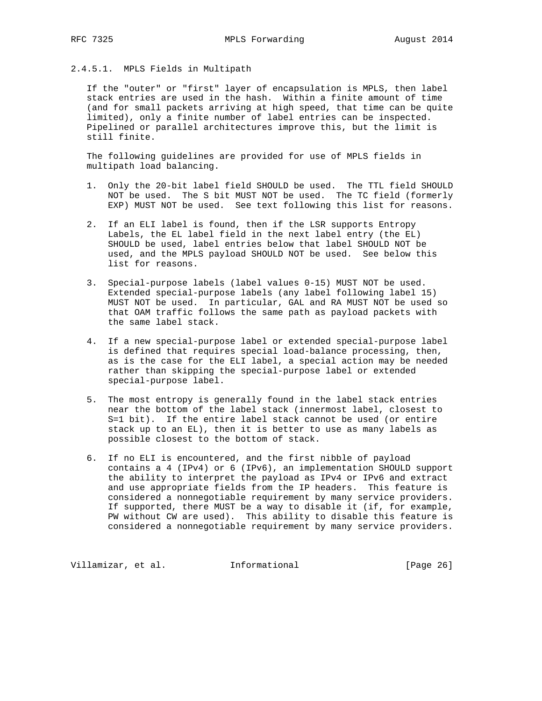# 2.4.5.1. MPLS Fields in Multipath

 If the "outer" or "first" layer of encapsulation is MPLS, then label stack entries are used in the hash. Within a finite amount of time (and for small packets arriving at high speed, that time can be quite limited), only a finite number of label entries can be inspected. Pipelined or parallel architectures improve this, but the limit is still finite.

 The following guidelines are provided for use of MPLS fields in multipath load balancing.

- 1. Only the 20-bit label field SHOULD be used. The TTL field SHOULD NOT be used. The S bit MUST NOT be used. The TC field (formerly EXP) MUST NOT be used. See text following this list for reasons.
- 2. If an ELI label is found, then if the LSR supports Entropy Labels, the EL label field in the next label entry (the EL) SHOULD be used, label entries below that label SHOULD NOT be used, and the MPLS payload SHOULD NOT be used. See below this list for reasons.
- 3. Special-purpose labels (label values 0-15) MUST NOT be used. Extended special-purpose labels (any label following label 15) MUST NOT be used. In particular, GAL and RA MUST NOT be used so that OAM traffic follows the same path as payload packets with the same label stack.
- 4. If a new special-purpose label or extended special-purpose label is defined that requires special load-balance processing, then, as is the case for the ELI label, a special action may be needed rather than skipping the special-purpose label or extended special-purpose label.
- 5. The most entropy is generally found in the label stack entries near the bottom of the label stack (innermost label, closest to S=1 bit). If the entire label stack cannot be used (or entire stack up to an EL), then it is better to use as many labels as possible closest to the bottom of stack.
- 6. If no ELI is encountered, and the first nibble of payload contains a 4 (IPv4) or 6 (IPv6), an implementation SHOULD support the ability to interpret the payload as IPv4 or IPv6 and extract and use appropriate fields from the IP headers. This feature is considered a nonnegotiable requirement by many service providers. If supported, there MUST be a way to disable it (if, for example, PW without CW are used). This ability to disable this feature is considered a nonnegotiable requirement by many service providers.

Villamizar, et al. 1nformational [Page 26]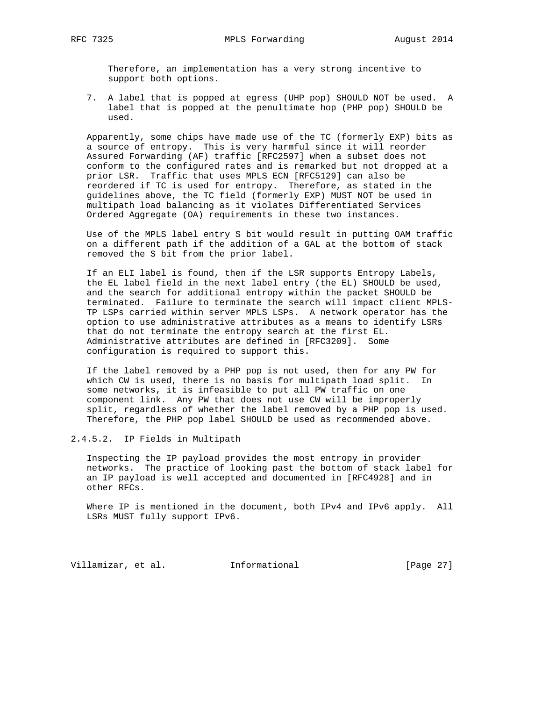Therefore, an implementation has a very strong incentive to support both options.

 7. A label that is popped at egress (UHP pop) SHOULD NOT be used. A label that is popped at the penultimate hop (PHP pop) SHOULD be used.

 Apparently, some chips have made use of the TC (formerly EXP) bits as a source of entropy. This is very harmful since it will reorder Assured Forwarding (AF) traffic [RFC2597] when a subset does not conform to the configured rates and is remarked but not dropped at a prior LSR. Traffic that uses MPLS ECN [RFC5129] can also be reordered if TC is used for entropy. Therefore, as stated in the guidelines above, the TC field (formerly EXP) MUST NOT be used in multipath load balancing as it violates Differentiated Services Ordered Aggregate (OA) requirements in these two instances.

 Use of the MPLS label entry S bit would result in putting OAM traffic on a different path if the addition of a GAL at the bottom of stack removed the S bit from the prior label.

 If an ELI label is found, then if the LSR supports Entropy Labels, the EL label field in the next label entry (the EL) SHOULD be used, and the search for additional entropy within the packet SHOULD be terminated. Failure to terminate the search will impact client MPLS- TP LSPs carried within server MPLS LSPs. A network operator has the option to use administrative attributes as a means to identify LSRs that do not terminate the entropy search at the first EL. Administrative attributes are defined in [RFC3209]. Some configuration is required to support this.

 If the label removed by a PHP pop is not used, then for any PW for which CW is used, there is no basis for multipath load split. In some networks, it is infeasible to put all PW traffic on one component link. Any PW that does not use CW will be improperly split, regardless of whether the label removed by a PHP pop is used. Therefore, the PHP pop label SHOULD be used as recommended above.

2.4.5.2. IP Fields in Multipath

 Inspecting the IP payload provides the most entropy in provider networks. The practice of looking past the bottom of stack label for an IP payload is well accepted and documented in [RFC4928] and in other RFCs.

Where IP is mentioned in the document, both IPv4 and IPv6 apply. All LSRs MUST fully support IPv6.

Villamizar, et al. 1nformational [Page 27]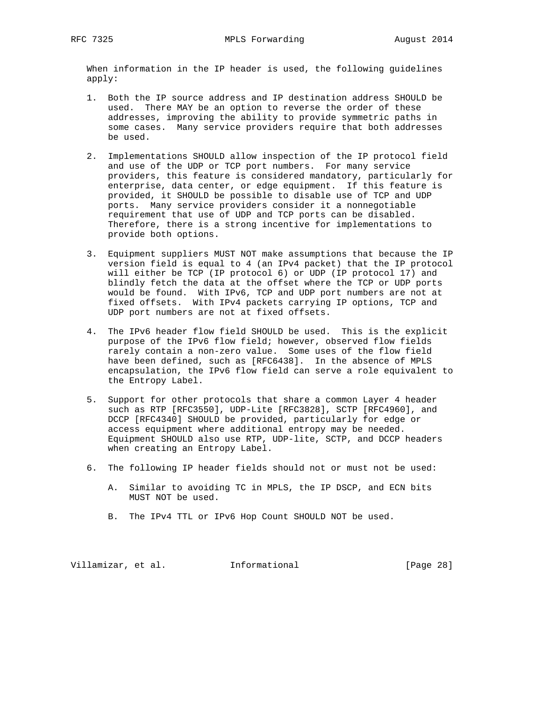When information in the IP header is used, the following guidelines apply:

- 1. Both the IP source address and IP destination address SHOULD be used. There MAY be an option to reverse the order of these addresses, improving the ability to provide symmetric paths in some cases. Many service providers require that both addresses be used.
- 2. Implementations SHOULD allow inspection of the IP protocol field and use of the UDP or TCP port numbers. For many service providers, this feature is considered mandatory, particularly for enterprise, data center, or edge equipment. If this feature is provided, it SHOULD be possible to disable use of TCP and UDP ports. Many service providers consider it a nonnegotiable requirement that use of UDP and TCP ports can be disabled. Therefore, there is a strong incentive for implementations to provide both options.
- 3. Equipment suppliers MUST NOT make assumptions that because the IP version field is equal to 4 (an IPv4 packet) that the IP protocol will either be TCP (IP protocol 6) or UDP (IP protocol 17) and blindly fetch the data at the offset where the TCP or UDP ports would be found. With IPv6, TCP and UDP port numbers are not at fixed offsets. With IPv4 packets carrying IP options, TCP and UDP port numbers are not at fixed offsets.
- 4. The IPv6 header flow field SHOULD be used. This is the explicit purpose of the IPv6 flow field; however, observed flow fields rarely contain a non-zero value. Some uses of the flow field have been defined, such as [RFC6438]. In the absence of MPLS encapsulation, the IPv6 flow field can serve a role equivalent to the Entropy Label.
- 5. Support for other protocols that share a common Layer 4 header such as RTP [RFC3550], UDP-Lite [RFC3828], SCTP [RFC4960], and DCCP [RFC4340] SHOULD be provided, particularly for edge or access equipment where additional entropy may be needed. Equipment SHOULD also use RTP, UDP-lite, SCTP, and DCCP headers when creating an Entropy Label.
- 6. The following IP header fields should not or must not be used:
	- A. Similar to avoiding TC in MPLS, the IP DSCP, and ECN bits MUST NOT be used.
	- B. The IPv4 TTL or IPv6 Hop Count SHOULD NOT be used.

Villamizar, et al. 1nformational [Page 28]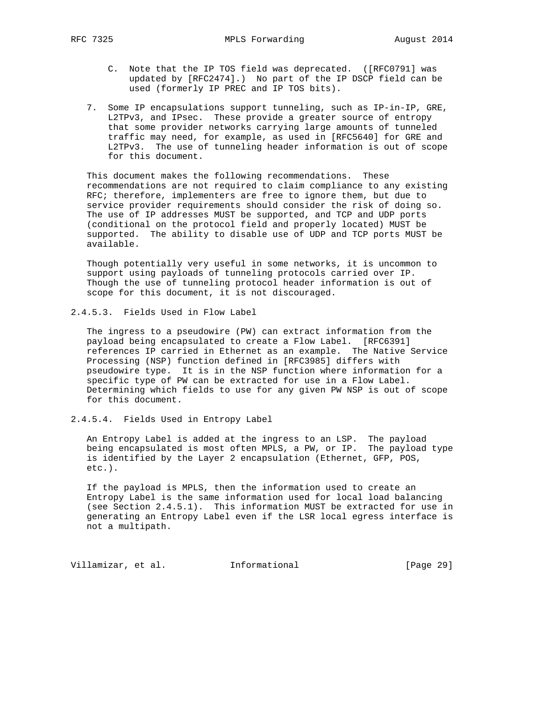- C. Note that the IP TOS field was deprecated. ([RFC0791] was updated by [RFC2474].) No part of the IP DSCP field can be used (formerly IP PREC and IP TOS bits).
- 7. Some IP encapsulations support tunneling, such as IP-in-IP, GRE, L2TPv3, and IPsec. These provide a greater source of entropy that some provider networks carrying large amounts of tunneled traffic may need, for example, as used in [RFC5640] for GRE and L2TPv3. The use of tunneling header information is out of scope for this document.

 This document makes the following recommendations. These recommendations are not required to claim compliance to any existing RFC; therefore, implementers are free to ignore them, but due to service provider requirements should consider the risk of doing so. The use of IP addresses MUST be supported, and TCP and UDP ports (conditional on the protocol field and properly located) MUST be supported. The ability to disable use of UDP and TCP ports MUST be available.

 Though potentially very useful in some networks, it is uncommon to support using payloads of tunneling protocols carried over IP. Though the use of tunneling protocol header information is out of scope for this document, it is not discouraged.

2.4.5.3. Fields Used in Flow Label

 The ingress to a pseudowire (PW) can extract information from the payload being encapsulated to create a Flow Label. [RFC6391] references IP carried in Ethernet as an example. The Native Service Processing (NSP) function defined in [RFC3985] differs with pseudowire type. It is in the NSP function where information for a specific type of PW can be extracted for use in a Flow Label. Determining which fields to use for any given PW NSP is out of scope for this document.

2.4.5.4. Fields Used in Entropy Label

 An Entropy Label is added at the ingress to an LSP. The payload being encapsulated is most often MPLS, a PW, or IP. The payload type is identified by the Layer 2 encapsulation (Ethernet, GFP, POS, etc.).

 If the payload is MPLS, then the information used to create an Entropy Label is the same information used for local load balancing (see Section 2.4.5.1). This information MUST be extracted for use in generating an Entropy Label even if the LSR local egress interface is not a multipath.

Villamizar, et al. 1nformational [Page 29]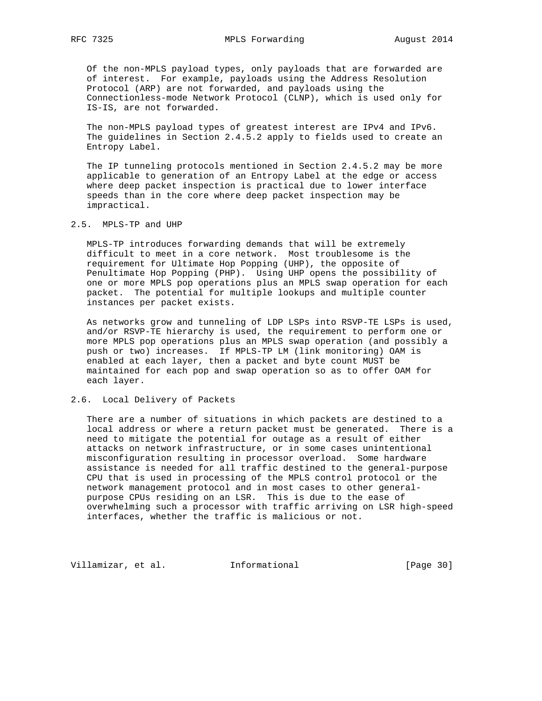Of the non-MPLS payload types, only payloads that are forwarded are of interest. For example, payloads using the Address Resolution Protocol (ARP) are not forwarded, and payloads using the Connectionless-mode Network Protocol (CLNP), which is used only for IS-IS, are not forwarded.

 The non-MPLS payload types of greatest interest are IPv4 and IPv6. The guidelines in Section 2.4.5.2 apply to fields used to create an Entropy Label.

 The IP tunneling protocols mentioned in Section 2.4.5.2 may be more applicable to generation of an Entropy Label at the edge or access where deep packet inspection is practical due to lower interface speeds than in the core where deep packet inspection may be impractical.

2.5. MPLS-TP and UHP

 MPLS-TP introduces forwarding demands that will be extremely difficult to meet in a core network. Most troublesome is the requirement for Ultimate Hop Popping (UHP), the opposite of Penultimate Hop Popping (PHP). Using UHP opens the possibility of one or more MPLS pop operations plus an MPLS swap operation for each packet. The potential for multiple lookups and multiple counter instances per packet exists.

 As networks grow and tunneling of LDP LSPs into RSVP-TE LSPs is used, and/or RSVP-TE hierarchy is used, the requirement to perform one or more MPLS pop operations plus an MPLS swap operation (and possibly a push or two) increases. If MPLS-TP LM (link monitoring) OAM is enabled at each layer, then a packet and byte count MUST be maintained for each pop and swap operation so as to offer OAM for each layer.

### 2.6. Local Delivery of Packets

 There are a number of situations in which packets are destined to a local address or where a return packet must be generated. There is a need to mitigate the potential for outage as a result of either attacks on network infrastructure, or in some cases unintentional misconfiguration resulting in processor overload. Some hardware assistance is needed for all traffic destined to the general-purpose CPU that is used in processing of the MPLS control protocol or the network management protocol and in most cases to other general purpose CPUs residing on an LSR. This is due to the ease of overwhelming such a processor with traffic arriving on LSR high-speed interfaces, whether the traffic is malicious or not.

Villamizar, et al. 1nformational [Page 30]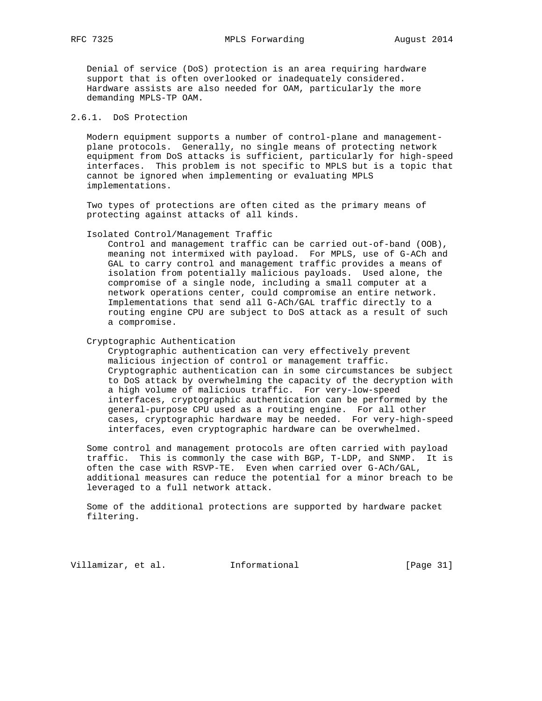Denial of service (DoS) protection is an area requiring hardware support that is often overlooked or inadequately considered. Hardware assists are also needed for OAM, particularly the more demanding MPLS-TP OAM.

# 2.6.1. DoS Protection

 Modern equipment supports a number of control-plane and management plane protocols. Generally, no single means of protecting network equipment from DoS attacks is sufficient, particularly for high-speed interfaces. This problem is not specific to MPLS but is a topic that cannot be ignored when implementing or evaluating MPLS implementations.

 Two types of protections are often cited as the primary means of protecting against attacks of all kinds.

Isolated Control/Management Traffic

 Control and management traffic can be carried out-of-band (OOB), meaning not intermixed with payload. For MPLS, use of G-ACh and GAL to carry control and management traffic provides a means of isolation from potentially malicious payloads. Used alone, the compromise of a single node, including a small computer at a network operations center, could compromise an entire network. Implementations that send all G-ACh/GAL traffic directly to a routing engine CPU are subject to DoS attack as a result of such a compromise.

Cryptographic Authentication

 Cryptographic authentication can very effectively prevent malicious injection of control or management traffic. Cryptographic authentication can in some circumstances be subject to DoS attack by overwhelming the capacity of the decryption with a high volume of malicious traffic. For very-low-speed interfaces, cryptographic authentication can be performed by the general-purpose CPU used as a routing engine. For all other cases, cryptographic hardware may be needed. For very-high-speed interfaces, even cryptographic hardware can be overwhelmed.

 Some control and management protocols are often carried with payload traffic. This is commonly the case with BGP, T-LDP, and SNMP. It is often the case with RSVP-TE. Even when carried over G-ACh/GAL, additional measures can reduce the potential for a minor breach to be leveraged to a full network attack.

 Some of the additional protections are supported by hardware packet filtering.

Villamizar, et al. 1nformational [Page 31]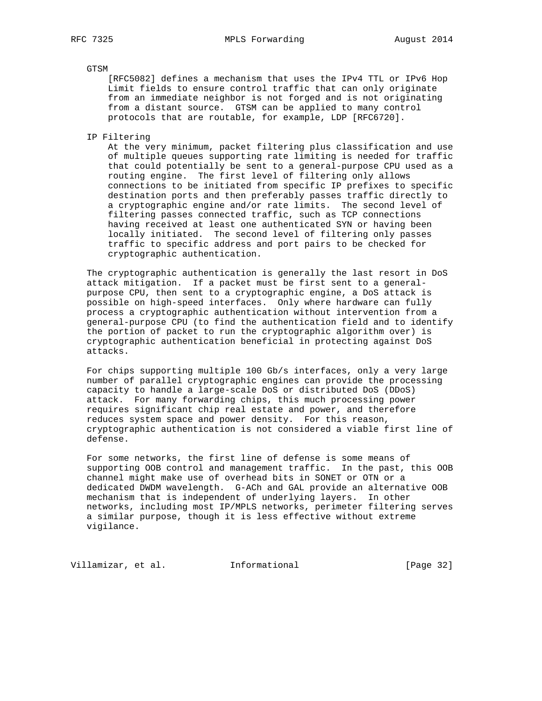### GTSM

 [RFC5082] defines a mechanism that uses the IPv4 TTL or IPv6 Hop Limit fields to ensure control traffic that can only originate from an immediate neighbor is not forged and is not originating from a distant source. GTSM can be applied to many control protocols that are routable, for example, LDP [RFC6720].

IP Filtering

 At the very minimum, packet filtering plus classification and use of multiple queues supporting rate limiting is needed for traffic that could potentially be sent to a general-purpose CPU used as a routing engine. The first level of filtering only allows connections to be initiated from specific IP prefixes to specific destination ports and then preferably passes traffic directly to a cryptographic engine and/or rate limits. The second level of filtering passes connected traffic, such as TCP connections having received at least one authenticated SYN or having been locally initiated. The second level of filtering only passes traffic to specific address and port pairs to be checked for cryptographic authentication.

 The cryptographic authentication is generally the last resort in DoS attack mitigation. If a packet must be first sent to a general purpose CPU, then sent to a cryptographic engine, a DoS attack is possible on high-speed interfaces. Only where hardware can fully process a cryptographic authentication without intervention from a general-purpose CPU (to find the authentication field and to identify the portion of packet to run the cryptographic algorithm over) is cryptographic authentication beneficial in protecting against DoS attacks.

 For chips supporting multiple 100 Gb/s interfaces, only a very large number of parallel cryptographic engines can provide the processing capacity to handle a large-scale DoS or distributed DoS (DDoS) attack. For many forwarding chips, this much processing power requires significant chip real estate and power, and therefore reduces system space and power density. For this reason, cryptographic authentication is not considered a viable first line of defense.

 For some networks, the first line of defense is some means of supporting OOB control and management traffic. In the past, this OOB channel might make use of overhead bits in SONET or OTN or a dedicated DWDM wavelength. G-ACh and GAL provide an alternative OOB mechanism that is independent of underlying layers. In other networks, including most IP/MPLS networks, perimeter filtering serves a similar purpose, though it is less effective without extreme vigilance.

Villamizar, et al. 1nformational (Page 32)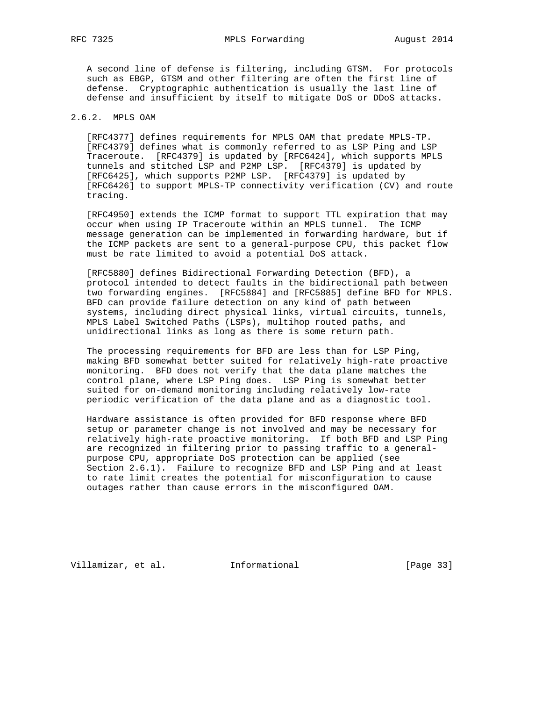A second line of defense is filtering, including GTSM. For protocols such as EBGP, GTSM and other filtering are often the first line of defense. Cryptographic authentication is usually the last line of defense and insufficient by itself to mitigate DoS or DDoS attacks.

# 2.6.2. MPLS OAM

 [RFC4377] defines requirements for MPLS OAM that predate MPLS-TP. [RFC4379] defines what is commonly referred to as LSP Ping and LSP Traceroute. [RFC4379] is updated by [RFC6424], which supports MPLS tunnels and stitched LSP and P2MP LSP. [RFC4379] is updated by [RFC6425], which supports P2MP LSP. [RFC4379] is updated by [RFC6426] to support MPLS-TP connectivity verification (CV) and route tracing.

 [RFC4950] extends the ICMP format to support TTL expiration that may occur when using IP Traceroute within an MPLS tunnel. The ICMP message generation can be implemented in forwarding hardware, but if the ICMP packets are sent to a general-purpose CPU, this packet flow must be rate limited to avoid a potential DoS attack.

 [RFC5880] defines Bidirectional Forwarding Detection (BFD), a protocol intended to detect faults in the bidirectional path between two forwarding engines. [RFC5884] and [RFC5885] define BFD for MPLS. BFD can provide failure detection on any kind of path between systems, including direct physical links, virtual circuits, tunnels, MPLS Label Switched Paths (LSPs), multihop routed paths, and unidirectional links as long as there is some return path.

 The processing requirements for BFD are less than for LSP Ping, making BFD somewhat better suited for relatively high-rate proactive monitoring. BFD does not verify that the data plane matches the control plane, where LSP Ping does. LSP Ping is somewhat better suited for on-demand monitoring including relatively low-rate periodic verification of the data plane and as a diagnostic tool.

 Hardware assistance is often provided for BFD response where BFD setup or parameter change is not involved and may be necessary for relatively high-rate proactive monitoring. If both BFD and LSP Ping are recognized in filtering prior to passing traffic to a general purpose CPU, appropriate DoS protection can be applied (see Section 2.6.1). Failure to recognize BFD and LSP Ping and at least to rate limit creates the potential for misconfiguration to cause outages rather than cause errors in the misconfigured OAM.

Villamizar, et al. 1nformational [Page 33]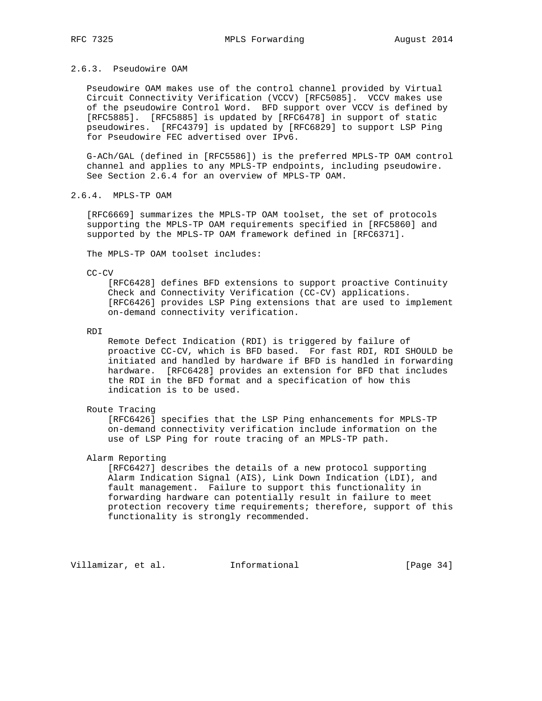Pseudowire OAM makes use of the control channel provided by Virtual Circuit Connectivity Verification (VCCV) [RFC5085]. VCCV makes use of the pseudowire Control Word. BFD support over VCCV is defined by [RFC5885]. [RFC5885] is updated by [RFC6478] in support of static pseudowires. [RFC4379] is updated by [RFC6829] to support LSP Ping for Pseudowire FEC advertised over IPv6.

 G-ACh/GAL (defined in [RFC5586]) is the preferred MPLS-TP OAM control channel and applies to any MPLS-TP endpoints, including pseudowire. See Section 2.6.4 for an overview of MPLS-TP OAM.

# 2.6.4. MPLS-TP OAM

 [RFC6669] summarizes the MPLS-TP OAM toolset, the set of protocols supporting the MPLS-TP OAM requirements specified in [RFC5860] and supported by the MPLS-TP OAM framework defined in [RFC6371].

The MPLS-TP OAM toolset includes:

CC-CV

 [RFC6428] defines BFD extensions to support proactive Continuity Check and Connectivity Verification (CC-CV) applications. [RFC6426] provides LSP Ping extensions that are used to implement on-demand connectivity verification.

RDI

 Remote Defect Indication (RDI) is triggered by failure of proactive CC-CV, which is BFD based. For fast RDI, RDI SHOULD be initiated and handled by hardware if BFD is handled in forwarding hardware. [RFC6428] provides an extension for BFD that includes the RDI in the BFD format and a specification of how this indication is to be used.

### Route Tracing

 [RFC6426] specifies that the LSP Ping enhancements for MPLS-TP on-demand connectivity verification include information on the use of LSP Ping for route tracing of an MPLS-TP path.

Alarm Reporting

 [RFC6427] describes the details of a new protocol supporting Alarm Indication Signal (AIS), Link Down Indication (LDI), and fault management. Failure to support this functionality in forwarding hardware can potentially result in failure to meet protection recovery time requirements; therefore, support of this functionality is strongly recommended.

Villamizar, et al. 1nformational 1999 [Page 34]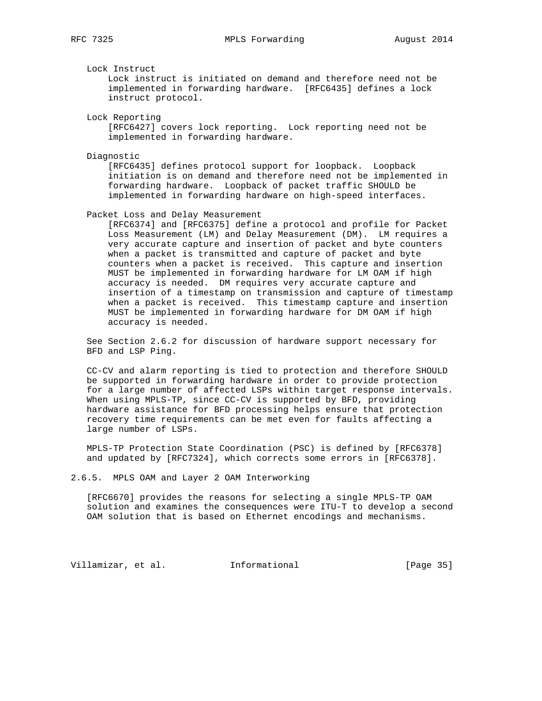Lock Instruct

 Lock instruct is initiated on demand and therefore need not be implemented in forwarding hardware. [RFC6435] defines a lock instruct protocol.

Lock Reporting

 [RFC6427] covers lock reporting. Lock reporting need not be implemented in forwarding hardware.

Diagnostic

 [RFC6435] defines protocol support for loopback. Loopback initiation is on demand and therefore need not be implemented in forwarding hardware. Loopback of packet traffic SHOULD be implemented in forwarding hardware on high-speed interfaces.

Packet Loss and Delay Measurement

 [RFC6374] and [RFC6375] define a protocol and profile for Packet Loss Measurement (LM) and Delay Measurement (DM). LM requires a very accurate capture and insertion of packet and byte counters when a packet is transmitted and capture of packet and byte counters when a packet is received. This capture and insertion MUST be implemented in forwarding hardware for LM OAM if high accuracy is needed. DM requires very accurate capture and insertion of a timestamp on transmission and capture of timestamp when a packet is received. This timestamp capture and insertion MUST be implemented in forwarding hardware for DM OAM if high accuracy is needed.

 See Section 2.6.2 for discussion of hardware support necessary for BFD and LSP Ping.

 CC-CV and alarm reporting is tied to protection and therefore SHOULD be supported in forwarding hardware in order to provide protection for a large number of affected LSPs within target response intervals. When using MPLS-TP, since CC-CV is supported by BFD, providing hardware assistance for BFD processing helps ensure that protection recovery time requirements can be met even for faults affecting a large number of LSPs.

 MPLS-TP Protection State Coordination (PSC) is defined by [RFC6378] and updated by [RFC7324], which corrects some errors in [RFC6378].

2.6.5. MPLS OAM and Layer 2 OAM Interworking

 [RFC6670] provides the reasons for selecting a single MPLS-TP OAM solution and examines the consequences were ITU-T to develop a second OAM solution that is based on Ethernet encodings and mechanisms.

Villamizar, et al. 1nformational [Page 35]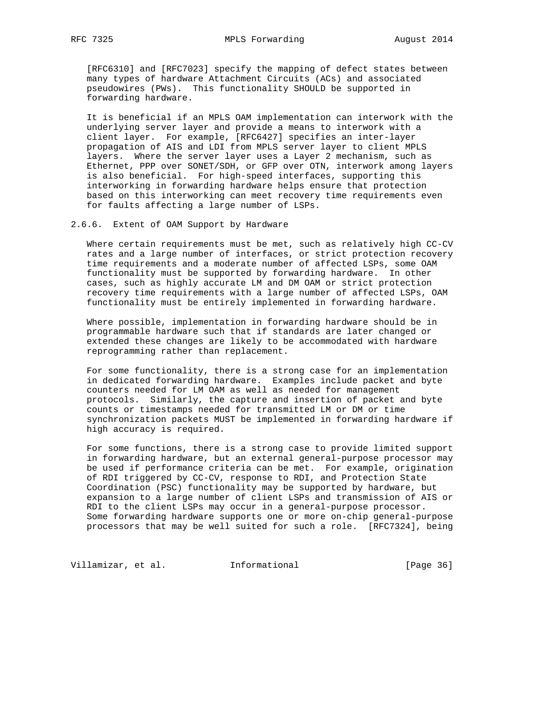[RFC6310] and [RFC7023] specify the mapping of defect states between many types of hardware Attachment Circuits (ACs) and associated pseudowires (PWs). This functionality SHOULD be supported in forwarding hardware.

 It is beneficial if an MPLS OAM implementation can interwork with the underlying server layer and provide a means to interwork with a client layer. For example, [RFC6427] specifies an inter-layer propagation of AIS and LDI from MPLS server layer to client MPLS layers. Where the server layer uses a Layer 2 mechanism, such as Ethernet, PPP over SONET/SDH, or GFP over OTN, interwork among layers is also beneficial. For high-speed interfaces, supporting this interworking in forwarding hardware helps ensure that protection based on this interworking can meet recovery time requirements even for faults affecting a large number of LSPs.

2.6.6. Extent of OAM Support by Hardware

 Where certain requirements must be met, such as relatively high CC-CV rates and a large number of interfaces, or strict protection recovery time requirements and a moderate number of affected LSPs, some OAM functionality must be supported by forwarding hardware. In other cases, such as highly accurate LM and DM OAM or strict protection recovery time requirements with a large number of affected LSPs, OAM functionality must be entirely implemented in forwarding hardware.

 Where possible, implementation in forwarding hardware should be in programmable hardware such that if standards are later changed or extended these changes are likely to be accommodated with hardware reprogramming rather than replacement.

 For some functionality, there is a strong case for an implementation in dedicated forwarding hardware. Examples include packet and byte counters needed for LM OAM as well as needed for management protocols. Similarly, the capture and insertion of packet and byte counts or timestamps needed for transmitted LM or DM or time synchronization packets MUST be implemented in forwarding hardware if high accuracy is required.

 For some functions, there is a strong case to provide limited support in forwarding hardware, but an external general-purpose processor may be used if performance criteria can be met. For example, origination of RDI triggered by CC-CV, response to RDI, and Protection State Coordination (PSC) functionality may be supported by hardware, but expansion to a large number of client LSPs and transmission of AIS or RDI to the client LSPs may occur in a general-purpose processor. Some forwarding hardware supports one or more on-chip general-purpose processors that may be well suited for such a role. [RFC7324], being

Villamizar, et al. 1nformational (Page 36)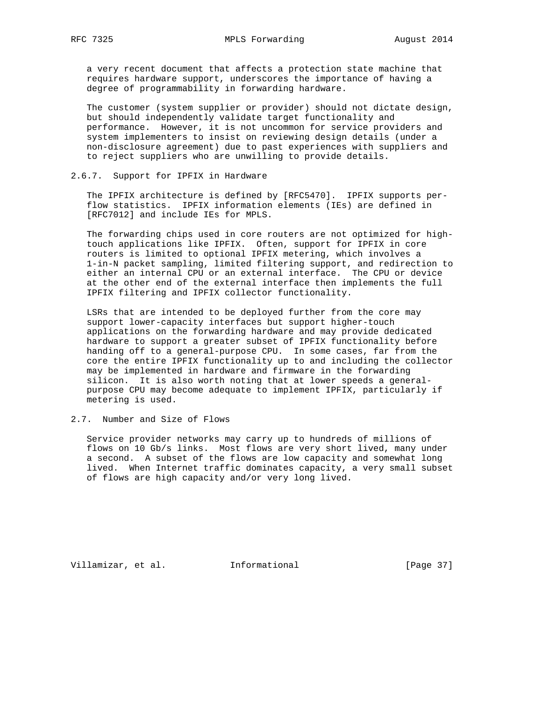a very recent document that affects a protection state machine that requires hardware support, underscores the importance of having a degree of programmability in forwarding hardware.

 The customer (system supplier or provider) should not dictate design, but should independently validate target functionality and performance. However, it is not uncommon for service providers and system implementers to insist on reviewing design details (under a non-disclosure agreement) due to past experiences with suppliers and to reject suppliers who are unwilling to provide details.

## 2.6.7. Support for IPFIX in Hardware

 The IPFIX architecture is defined by [RFC5470]. IPFIX supports per flow statistics. IPFIX information elements (IEs) are defined in [RFC7012] and include IEs for MPLS.

 The forwarding chips used in core routers are not optimized for high touch applications like IPFIX. Often, support for IPFIX in core routers is limited to optional IPFIX metering, which involves a 1-in-N packet sampling, limited filtering support, and redirection to either an internal CPU or an external interface. The CPU or device at the other end of the external interface then implements the full IPFIX filtering and IPFIX collector functionality.

 LSRs that are intended to be deployed further from the core may support lower-capacity interfaces but support higher-touch applications on the forwarding hardware and may provide dedicated hardware to support a greater subset of IPFIX functionality before handing off to a general-purpose CPU. In some cases, far from the core the entire IPFIX functionality up to and including the collector may be implemented in hardware and firmware in the forwarding silicon. It is also worth noting that at lower speeds a general purpose CPU may become adequate to implement IPFIX, particularly if metering is used.

# 2.7. Number and Size of Flows

 Service provider networks may carry up to hundreds of millions of flows on 10 Gb/s links. Most flows are very short lived, many under a second. A subset of the flows are low capacity and somewhat long lived. When Internet traffic dominates capacity, a very small subset of flows are high capacity and/or very long lived.

Villamizar, et al. 1nformational [Page 37]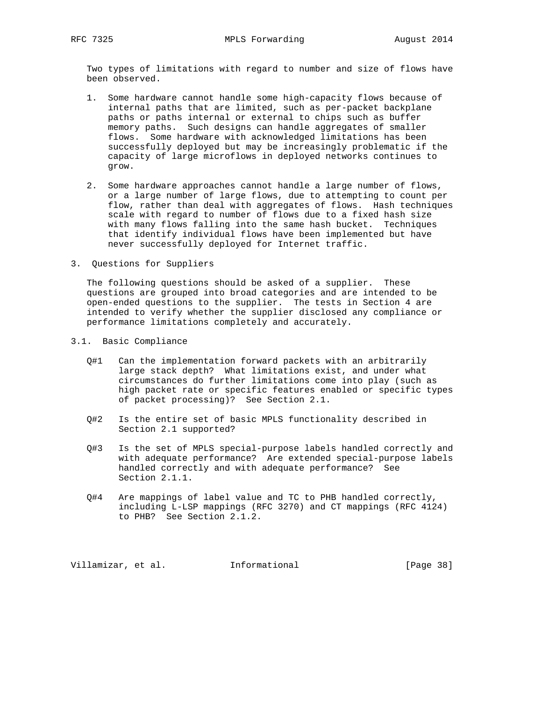Two types of limitations with regard to number and size of flows have been observed.

- 1. Some hardware cannot handle some high-capacity flows because of internal paths that are limited, such as per-packet backplane paths or paths internal or external to chips such as buffer memory paths. Such designs can handle aggregates of smaller flows. Some hardware with acknowledged limitations has been successfully deployed but may be increasingly problematic if the capacity of large microflows in deployed networks continues to grow.
- 2. Some hardware approaches cannot handle a large number of flows, or a large number of large flows, due to attempting to count per flow, rather than deal with aggregates of flows. Hash techniques scale with regard to number of flows due to a fixed hash size with many flows falling into the same hash bucket. Techniques that identify individual flows have been implemented but have never successfully deployed for Internet traffic.
- 3. Questions for Suppliers

 The following questions should be asked of a supplier. These questions are grouped into broad categories and are intended to be open-ended questions to the supplier. The tests in Section 4 are intended to verify whether the supplier disclosed any compliance or performance limitations completely and accurately.

- 3.1. Basic Compliance
	- Q#1 Can the implementation forward packets with an arbitrarily large stack depth? What limitations exist, and under what circumstances do further limitations come into play (such as high packet rate or specific features enabled or specific types of packet processing)? See Section 2.1.
	- Q#2 Is the entire set of basic MPLS functionality described in Section 2.1 supported?
	- Q#3 Is the set of MPLS special-purpose labels handled correctly and with adequate performance? Are extended special-purpose labels handled correctly and with adequate performance? See Section 2.1.1.
	- Q#4 Are mappings of label value and TC to PHB handled correctly, including L-LSP mappings (RFC 3270) and CT mappings (RFC 4124) to PHB? See Section 2.1.2.

Villamizar, et al. 1nformational [Page 38]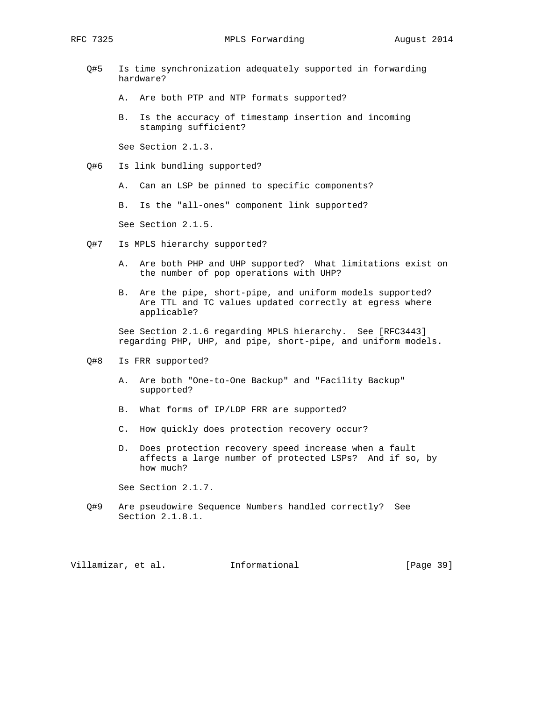- Q#5 Is time synchronization adequately supported in forwarding hardware?
	- A. Are both PTP and NTP formats supported?
	- B. Is the accuracy of timestamp insertion and incoming stamping sufficient?

See Section 2.1.3.

- Q#6 Is link bundling supported?
	- A. Can an LSP be pinned to specific components?

B. Is the "all-ones" component link supported?

See Section 2.1.5.

- Q#7 Is MPLS hierarchy supported?
	- A. Are both PHP and UHP supported? What limitations exist on the number of pop operations with UHP?
	- B. Are the pipe, short-pipe, and uniform models supported? Are TTL and TC values updated correctly at egress where applicable?

 See Section 2.1.6 regarding MPLS hierarchy. See [RFC3443] regarding PHP, UHP, and pipe, short-pipe, and uniform models.

- Q#8 Is FRR supported?
	- A. Are both "One-to-One Backup" and "Facility Backup" supported?
	- B. What forms of IP/LDP FRR are supported?
	- C. How quickly does protection recovery occur?
	- D. Does protection recovery speed increase when a fault affects a large number of protected LSPs? And if so, by how much?

See Section 2.1.7.

 Q#9 Are pseudowire Sequence Numbers handled correctly? See Section 2.1.8.1.

Villamizar, et al. 1nformational [Page 39]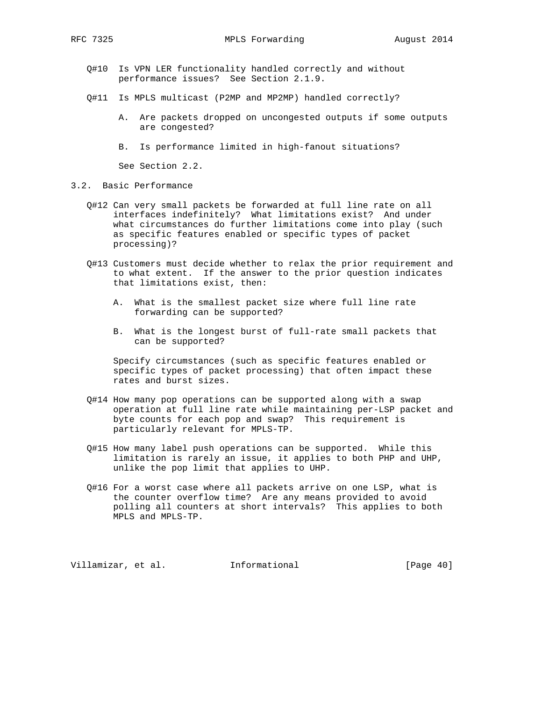- Q#10 Is VPN LER functionality handled correctly and without performance issues? See Section 2.1.9.
- Q#11 Is MPLS multicast (P2MP and MP2MP) handled correctly?
	- A. Are packets dropped on uncongested outputs if some outputs are congested?
	- B. Is performance limited in high-fanout situations?

See Section 2.2.

- 3.2. Basic Performance
	- Q#12 Can very small packets be forwarded at full line rate on all interfaces indefinitely? What limitations exist? And under what circumstances do further limitations come into play (such as specific features enabled or specific types of packet processing)?
	- Q#13 Customers must decide whether to relax the prior requirement and to what extent. If the answer to the prior question indicates that limitations exist, then:
		- A. What is the smallest packet size where full line rate forwarding can be supported?
		- B. What is the longest burst of full-rate small packets that can be supported?

 Specify circumstances (such as specific features enabled or specific types of packet processing) that often impact these rates and burst sizes.

- Q#14 How many pop operations can be supported along with a swap operation at full line rate while maintaining per-LSP packet and byte counts for each pop and swap? This requirement is particularly relevant for MPLS-TP.
- Q#15 How many label push operations can be supported. While this limitation is rarely an issue, it applies to both PHP and UHP, unlike the pop limit that applies to UHP.
- Q#16 For a worst case where all packets arrive on one LSP, what is the counter overflow time? Are any means provided to avoid polling all counters at short intervals? This applies to both MPLS and MPLS-TP.

Villamizar, et al. 1nformational [Page 40]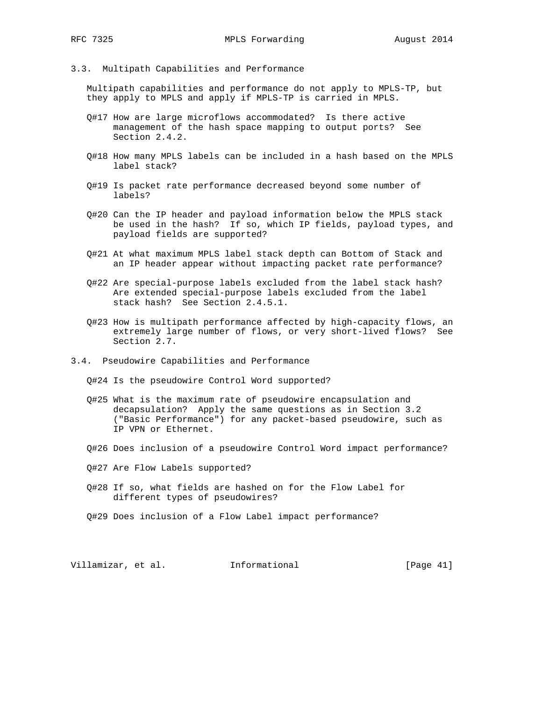### 3.3. Multipath Capabilities and Performance

 Multipath capabilities and performance do not apply to MPLS-TP, but they apply to MPLS and apply if MPLS-TP is carried in MPLS.

- Q#17 How are large microflows accommodated? Is there active management of the hash space mapping to output ports? See Section 2.4.2.
- Q#18 How many MPLS labels can be included in a hash based on the MPLS label stack?
- Q#19 Is packet rate performance decreased beyond some number of labels?
- Q#20 Can the IP header and payload information below the MPLS stack be used in the hash? If so, which IP fields, payload types, and payload fields are supported?
- Q#21 At what maximum MPLS label stack depth can Bottom of Stack and an IP header appear without impacting packet rate performance?
- Q#22 Are special-purpose labels excluded from the label stack hash? Are extended special-purpose labels excluded from the label stack hash? See Section 2.4.5.1.
- Q#23 How is multipath performance affected by high-capacity flows, an extremely large number of flows, or very short-lived flows? See Section 2.7.
- 3.4. Pseudowire Capabilities and Performance
	- Q#24 Is the pseudowire Control Word supported?
	- Q#25 What is the maximum rate of pseudowire encapsulation and decapsulation? Apply the same questions as in Section 3.2 ("Basic Performance") for any packet-based pseudowire, such as IP VPN or Ethernet.
	- Q#26 Does inclusion of a pseudowire Control Word impact performance?
	- Q#27 Are Flow Labels supported?
	- Q#28 If so, what fields are hashed on for the Flow Label for different types of pseudowires?
	- Q#29 Does inclusion of a Flow Label impact performance?

Villamizar, et al. Informational [Page 41]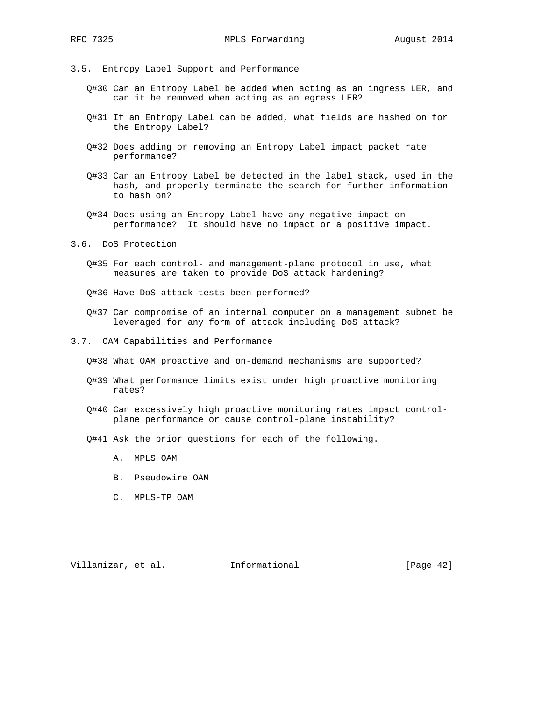- 
- 3.5. Entropy Label Support and Performance
	- Q#30 Can an Entropy Label be added when acting as an ingress LER, and can it be removed when acting as an egress LER?
	- Q#31 If an Entropy Label can be added, what fields are hashed on for the Entropy Label?
	- Q#32 Does adding or removing an Entropy Label impact packet rate performance?
	- Q#33 Can an Entropy Label be detected in the label stack, used in the hash, and properly terminate the search for further information to hash on?
	- Q#34 Does using an Entropy Label have any negative impact on performance? It should have no impact or a positive impact.
- 3.6. DoS Protection
	- Q#35 For each control- and management-plane protocol in use, what measures are taken to provide DoS attack hardening?
	- Q#36 Have DoS attack tests been performed?
	- Q#37 Can compromise of an internal computer on a management subnet be leveraged for any form of attack including DoS attack?
- 3.7. OAM Capabilities and Performance
	- Q#38 What OAM proactive and on-demand mechanisms are supported?
	- Q#39 What performance limits exist under high proactive monitoring rates?
	- Q#40 Can excessively high proactive monitoring rates impact control plane performance or cause control-plane instability?
	- Q#41 Ask the prior questions for each of the following.
		- A. MPLS OAM
		- B. Pseudowire OAM
		- C. MPLS-TP OAM

Villamizar, et al. 1nformational [Page 42]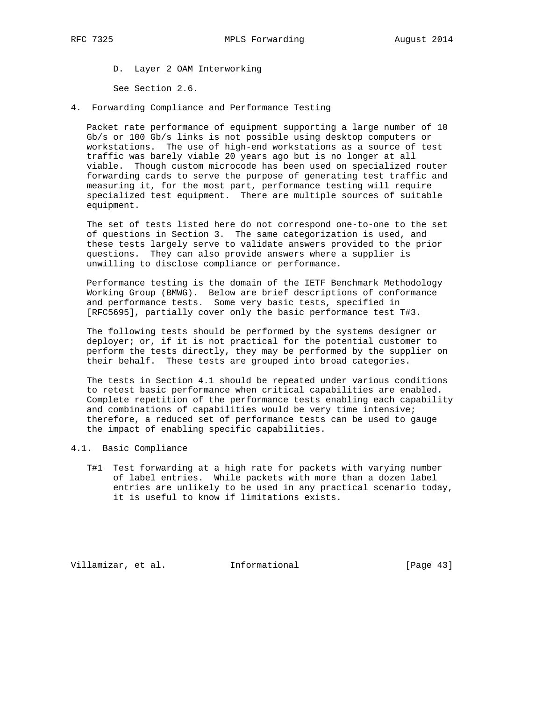D. Layer 2 OAM Interworking

See Section 2.6.

4. Forwarding Compliance and Performance Testing

 Packet rate performance of equipment supporting a large number of 10 Gb/s or 100 Gb/s links is not possible using desktop computers or workstations. The use of high-end workstations as a source of test traffic was barely viable 20 years ago but is no longer at all viable. Though custom microcode has been used on specialized router forwarding cards to serve the purpose of generating test traffic and measuring it, for the most part, performance testing will require specialized test equipment. There are multiple sources of suitable equipment.

 The set of tests listed here do not correspond one-to-one to the set of questions in Section 3. The same categorization is used, and these tests largely serve to validate answers provided to the prior questions. They can also provide answers where a supplier is unwilling to disclose compliance or performance.

 Performance testing is the domain of the IETF Benchmark Methodology Working Group (BMWG). Below are brief descriptions of conformance and performance tests. Some very basic tests, specified in [RFC5695], partially cover only the basic performance test T#3.

 The following tests should be performed by the systems designer or deployer; or, if it is not practical for the potential customer to perform the tests directly, they may be performed by the supplier on their behalf. These tests are grouped into broad categories.

 The tests in Section 4.1 should be repeated under various conditions to retest basic performance when critical capabilities are enabled. Complete repetition of the performance tests enabling each capability and combinations of capabilities would be very time intensive; therefore, a reduced set of performance tests can be used to gauge the impact of enabling specific capabilities.

- 4.1. Basic Compliance
	- T#1 Test forwarding at a high rate for packets with varying number of label entries. While packets with more than a dozen label entries are unlikely to be used in any practical scenario today, it is useful to know if limitations exists.

Villamizar, et al. 1nformational [Page 43]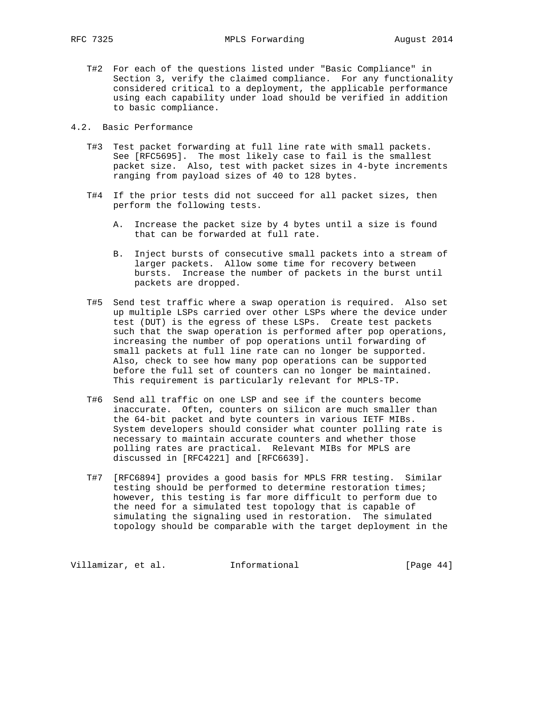- T#2 For each of the questions listed under "Basic Compliance" in Section 3, verify the claimed compliance. For any functionality considered critical to a deployment, the applicable performance using each capability under load should be verified in addition to basic compliance.
- 4.2. Basic Performance
	- T#3 Test packet forwarding at full line rate with small packets. See [RFC5695]. The most likely case to fail is the smallest packet size. Also, test with packet sizes in 4-byte increments ranging from payload sizes of 40 to 128 bytes.
	- T#4 If the prior tests did not succeed for all packet sizes, then perform the following tests.
		- A. Increase the packet size by 4 bytes until a size is found that can be forwarded at full rate.
		- B. Inject bursts of consecutive small packets into a stream of larger packets. Allow some time for recovery between bursts. Increase the number of packets in the burst until packets are dropped.
	- T#5 Send test traffic where a swap operation is required. Also set up multiple LSPs carried over other LSPs where the device under test (DUT) is the egress of these LSPs. Create test packets such that the swap operation is performed after pop operations, increasing the number of pop operations until forwarding of small packets at full line rate can no longer be supported. Also, check to see how many pop operations can be supported before the full set of counters can no longer be maintained. This requirement is particularly relevant for MPLS-TP.
	- T#6 Send all traffic on one LSP and see if the counters become inaccurate. Often, counters on silicon are much smaller than the 64-bit packet and byte counters in various IETF MIBs. System developers should consider what counter polling rate is necessary to maintain accurate counters and whether those polling rates are practical. Relevant MIBs for MPLS are discussed in [RFC4221] and [RFC6639].
	- T#7 [RFC6894] provides a good basis for MPLS FRR testing. Similar testing should be performed to determine restoration times; however, this testing is far more difficult to perform due to the need for a simulated test topology that is capable of simulating the signaling used in restoration. The simulated topology should be comparable with the target deployment in the

Villamizar, et al. 1nformational [Page 44]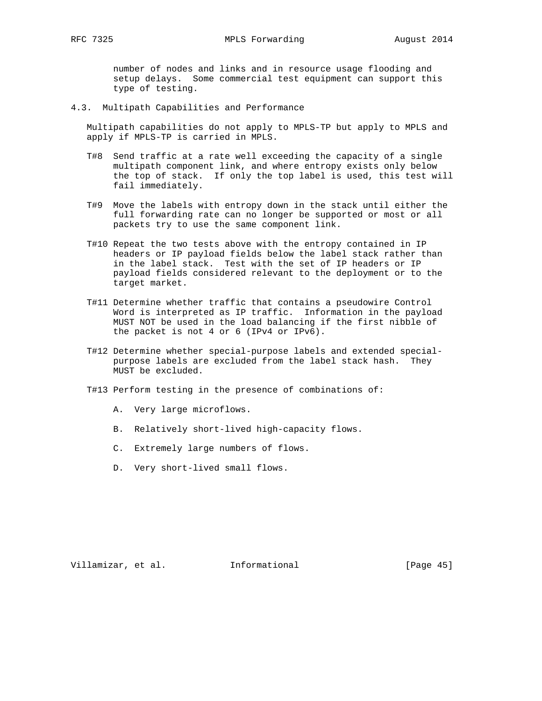number of nodes and links and in resource usage flooding and setup delays. Some commercial test equipment can support this type of testing.

4.3. Multipath Capabilities and Performance

 Multipath capabilities do not apply to MPLS-TP but apply to MPLS and apply if MPLS-TP is carried in MPLS.

- T#8 Send traffic at a rate well exceeding the capacity of a single multipath component link, and where entropy exists only below the top of stack. If only the top label is used, this test will fail immediately.
- T#9 Move the labels with entropy down in the stack until either the full forwarding rate can no longer be supported or most or all packets try to use the same component link.
- T#10 Repeat the two tests above with the entropy contained in IP headers or IP payload fields below the label stack rather than in the label stack. Test with the set of IP headers or IP payload fields considered relevant to the deployment or to the target market.
- T#11 Determine whether traffic that contains a pseudowire Control Word is interpreted as IP traffic. Information in the payload MUST NOT be used in the load balancing if the first nibble of the packet is not 4 or 6 (IPv4 or IPv6).
- T#12 Determine whether special-purpose labels and extended special purpose labels are excluded from the label stack hash. They MUST be excluded.
- T#13 Perform testing in the presence of combinations of:
	- A. Very large microflows.
	- B. Relatively short-lived high-capacity flows.
	- C. Extremely large numbers of flows.
	- D. Very short-lived small flows.

Villamizar, et al. 1nformational [Page 45]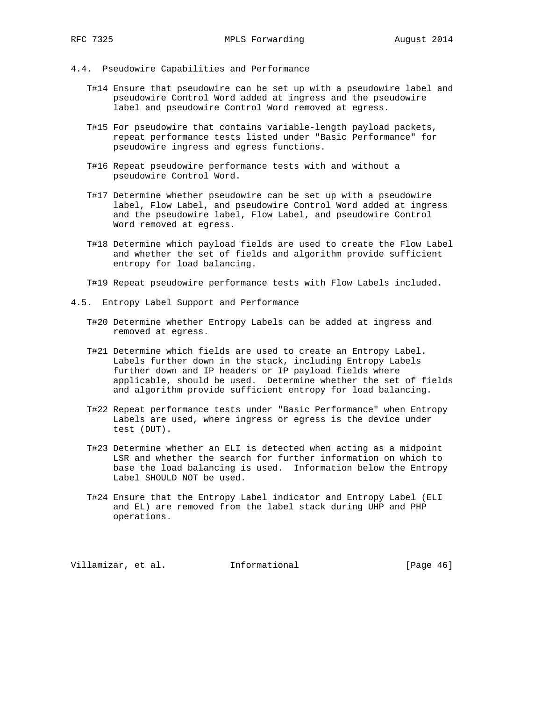- 4.4. Pseudowire Capabilities and Performance
	- T#14 Ensure that pseudowire can be set up with a pseudowire label and pseudowire Control Word added at ingress and the pseudowire label and pseudowire Control Word removed at egress.
	- T#15 For pseudowire that contains variable-length payload packets, repeat performance tests listed under "Basic Performance" for pseudowire ingress and egress functions.
	- T#16 Repeat pseudowire performance tests with and without a pseudowire Control Word.
	- T#17 Determine whether pseudowire can be set up with a pseudowire label, Flow Label, and pseudowire Control Word added at ingress and the pseudowire label, Flow Label, and pseudowire Control Word removed at egress.
	- T#18 Determine which payload fields are used to create the Flow Label and whether the set of fields and algorithm provide sufficient entropy for load balancing.
	- T#19 Repeat pseudowire performance tests with Flow Labels included.
- 4.5. Entropy Label Support and Performance
	- T#20 Determine whether Entropy Labels can be added at ingress and removed at egress.
	- T#21 Determine which fields are used to create an Entropy Label. Labels further down in the stack, including Entropy Labels further down and IP headers or IP payload fields where applicable, should be used. Determine whether the set of fields and algorithm provide sufficient entropy for load balancing.
	- T#22 Repeat performance tests under "Basic Performance" when Entropy Labels are used, where ingress or egress is the device under test (DUT).
	- T#23 Determine whether an ELI is detected when acting as a midpoint LSR and whether the search for further information on which to base the load balancing is used. Information below the Entropy Label SHOULD NOT be used.
	- T#24 Ensure that the Entropy Label indicator and Entropy Label (ELI and EL) are removed from the label stack during UHP and PHP operations.

Villamizar, et al. Informational [Page 46]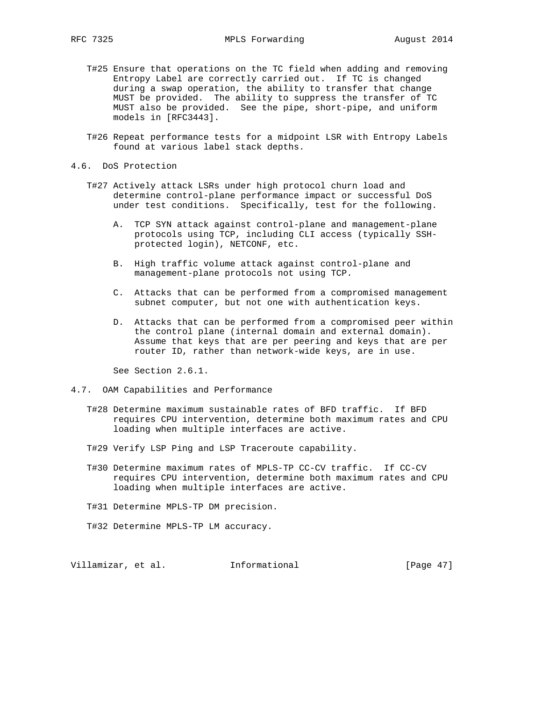- T#25 Ensure that operations on the TC field when adding and removing Entropy Label are correctly carried out. If TC is changed during a swap operation, the ability to transfer that change MUST be provided. The ability to suppress the transfer of TC MUST also be provided. See the pipe, short-pipe, and uniform models in [RFC3443].
- T#26 Repeat performance tests for a midpoint LSR with Entropy Labels found at various label stack depths.
- 4.6. DoS Protection
	- T#27 Actively attack LSRs under high protocol churn load and determine control-plane performance impact or successful DoS under test conditions. Specifically, test for the following.
		- A. TCP SYN attack against control-plane and management-plane protocols using TCP, including CLI access (typically SSH protected login), NETCONF, etc.
		- B. High traffic volume attack against control-plane and management-plane protocols not using TCP.
		- C. Attacks that can be performed from a compromised management subnet computer, but not one with authentication keys.
		- D. Attacks that can be performed from a compromised peer within the control plane (internal domain and external domain). Assume that keys that are per peering and keys that are per router ID, rather than network-wide keys, are in use.

See Section 2.6.1.

- 4.7. OAM Capabilities and Performance
	- T#28 Determine maximum sustainable rates of BFD traffic. If BFD requires CPU intervention, determine both maximum rates and CPU loading when multiple interfaces are active.
	- T#29 Verify LSP Ping and LSP Traceroute capability.
	- T#30 Determine maximum rates of MPLS-TP CC-CV traffic. If CC-CV requires CPU intervention, determine both maximum rates and CPU loading when multiple interfaces are active.
	- T#31 Determine MPLS-TP DM precision.
	- T#32 Determine MPLS-TP LM accuracy.

Villamizar, et al. 1nformational [Page 47]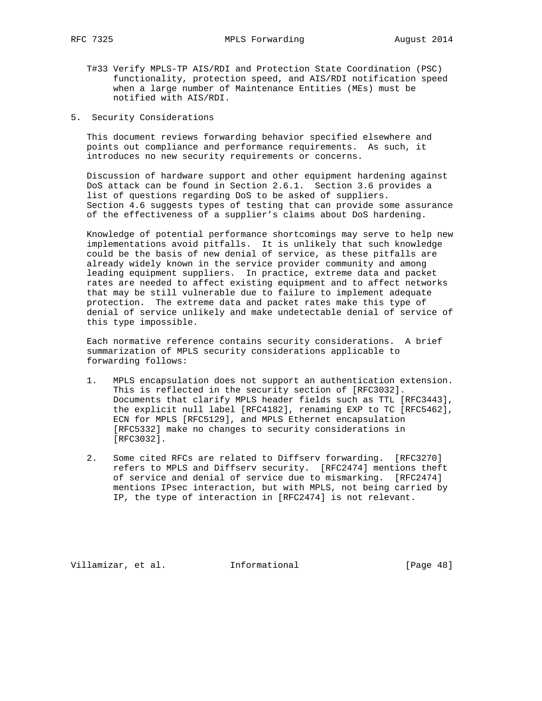- T#33 Verify MPLS-TP AIS/RDI and Protection State Coordination (PSC) functionality, protection speed, and AIS/RDI notification speed when a large number of Maintenance Entities (MEs) must be notified with AIS/RDI.
- 5. Security Considerations

 This document reviews forwarding behavior specified elsewhere and points out compliance and performance requirements. As such, it introduces no new security requirements or concerns.

 Discussion of hardware support and other equipment hardening against DoS attack can be found in Section 2.6.1. Section 3.6 provides a list of questions regarding DoS to be asked of suppliers. Section 4.6 suggests types of testing that can provide some assurance of the effectiveness of a supplier's claims about DoS hardening.

 Knowledge of potential performance shortcomings may serve to help new implementations avoid pitfalls. It is unlikely that such knowledge could be the basis of new denial of service, as these pitfalls are already widely known in the service provider community and among leading equipment suppliers. In practice, extreme data and packet rates are needed to affect existing equipment and to affect networks that may be still vulnerable due to failure to implement adequate protection. The extreme data and packet rates make this type of denial of service unlikely and make undetectable denial of service of this type impossible.

 Each normative reference contains security considerations. A brief summarization of MPLS security considerations applicable to forwarding follows:

- 1. MPLS encapsulation does not support an authentication extension. This is reflected in the security section of [RFC3032]. Documents that clarify MPLS header fields such as TTL [RFC3443], the explicit null label [RFC4182], renaming EXP to TC [RFC5462], ECN for MPLS [RFC5129], and MPLS Ethernet encapsulation [RFC5332] make no changes to security considerations in [RFC3032].
- 2. Some cited RFCs are related to Diffserv forwarding. [RFC3270] refers to MPLS and Diffserv security. [RFC2474] mentions theft of service and denial of service due to mismarking. [RFC2474] mentions IPsec interaction, but with MPLS, not being carried by IP, the type of interaction in [RFC2474] is not relevant.

Villamizar, et al. 1nformational [Page 48]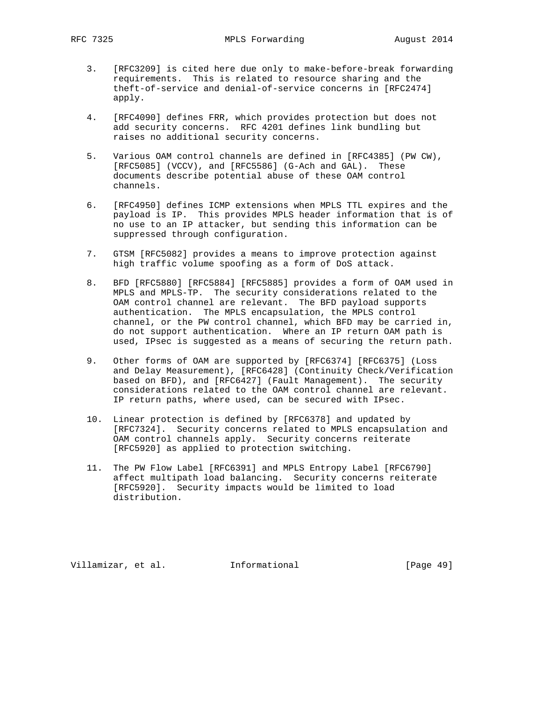- 3. [RFC3209] is cited here due only to make-before-break forwarding requirements. This is related to resource sharing and the theft-of-service and denial-of-service concerns in [RFC2474] apply.
- 4. [RFC4090] defines FRR, which provides protection but does not add security concerns. RFC 4201 defines link bundling but raises no additional security concerns.
- 5. Various OAM control channels are defined in [RFC4385] (PW CW), [RFC5085] (VCCV), and [RFC5586] (G-Ach and GAL). These documents describe potential abuse of these OAM control channels.
- 6. [RFC4950] defines ICMP extensions when MPLS TTL expires and the payload is IP. This provides MPLS header information that is of no use to an IP attacker, but sending this information can be suppressed through configuration.
- 7. GTSM [RFC5082] provides a means to improve protection against high traffic volume spoofing as a form of DoS attack.
- 8. BFD [RFC5880] [RFC5884] [RFC5885] provides a form of OAM used in MPLS and MPLS-TP. The security considerations related to the OAM control channel are relevant. The BFD payload supports authentication. The MPLS encapsulation, the MPLS control channel, or the PW control channel, which BFD may be carried in, do not support authentication. Where an IP return OAM path is used, IPsec is suggested as a means of securing the return path.
- 9. Other forms of OAM are supported by [RFC6374] [RFC6375] (Loss and Delay Measurement), [RFC6428] (Continuity Check/Verification based on BFD), and [RFC6427] (Fault Management). The security considerations related to the OAM control channel are relevant. IP return paths, where used, can be secured with IPsec.
- 10. Linear protection is defined by [RFC6378] and updated by [RFC7324]. Security concerns related to MPLS encapsulation and OAM control channels apply. Security concerns reiterate [RFC5920] as applied to protection switching.
- 11. The PW Flow Label [RFC6391] and MPLS Entropy Label [RFC6790] affect multipath load balancing. Security concerns reiterate [RFC5920]. Security impacts would be limited to load distribution.

Villamizar, et al. 1nformational [Page 49]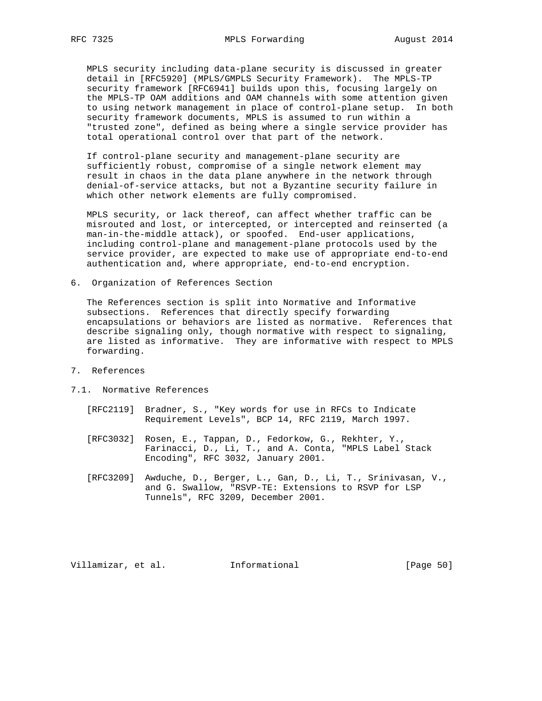MPLS security including data-plane security is discussed in greater detail in [RFC5920] (MPLS/GMPLS Security Framework). The MPLS-TP security framework [RFC6941] builds upon this, focusing largely on the MPLS-TP OAM additions and OAM channels with some attention given to using network management in place of control-plane setup. In both security framework documents, MPLS is assumed to run within a "trusted zone", defined as being where a single service provider has total operational control over that part of the network.

 If control-plane security and management-plane security are sufficiently robust, compromise of a single network element may result in chaos in the data plane anywhere in the network through denial-of-service attacks, but not a Byzantine security failure in which other network elements are fully compromised.

 MPLS security, or lack thereof, can affect whether traffic can be misrouted and lost, or intercepted, or intercepted and reinserted (a man-in-the-middle attack), or spoofed. End-user applications, including control-plane and management-plane protocols used by the service provider, are expected to make use of appropriate end-to-end authentication and, where appropriate, end-to-end encryption.

6. Organization of References Section

 The References section is split into Normative and Informative subsections. References that directly specify forwarding encapsulations or behaviors are listed as normative. References that describe signaling only, though normative with respect to signaling, are listed as informative. They are informative with respect to MPLS forwarding.

- 7. References
- 7.1. Normative References
	- [RFC2119] Bradner, S., "Key words for use in RFCs to Indicate Requirement Levels", BCP 14, RFC 2119, March 1997.
	- [RFC3032] Rosen, E., Tappan, D., Fedorkow, G., Rekhter, Y., Farinacci, D., Li, T., and A. Conta, "MPLS Label Stack Encoding", RFC 3032, January 2001.
	- [RFC3209] Awduche, D., Berger, L., Gan, D., Li, T., Srinivasan, V., and G. Swallow, "RSVP-TE: Extensions to RSVP for LSP Tunnels", RFC 3209, December 2001.

Villamizar, et al. 1nformational (Page 50)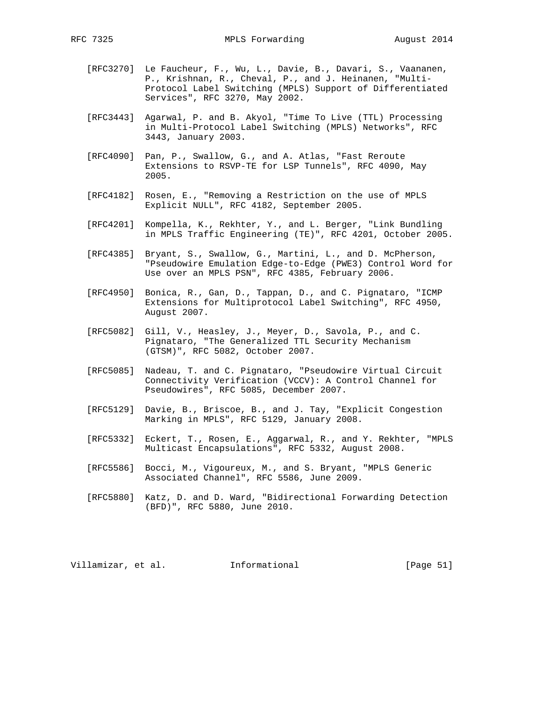- - [RFC3270] Le Faucheur, F., Wu, L., Davie, B., Davari, S., Vaananen, P., Krishnan, R., Cheval, P., and J. Heinanen, "Multi- Protocol Label Switching (MPLS) Support of Differentiated Services", RFC 3270, May 2002.
	- [RFC3443] Agarwal, P. and B. Akyol, "Time To Live (TTL) Processing in Multi-Protocol Label Switching (MPLS) Networks", RFC 3443, January 2003.
	- [RFC4090] Pan, P., Swallow, G., and A. Atlas, "Fast Reroute Extensions to RSVP-TE for LSP Tunnels", RFC 4090, May 2005.
	- [RFC4182] Rosen, E., "Removing a Restriction on the use of MPLS Explicit NULL", RFC 4182, September 2005.
	- [RFC4201] Kompella, K., Rekhter, Y., and L. Berger, "Link Bundling in MPLS Traffic Engineering (TE)", RFC 4201, October 2005.
	- [RFC4385] Bryant, S., Swallow, G., Martini, L., and D. McPherson, "Pseudowire Emulation Edge-to-Edge (PWE3) Control Word for Use over an MPLS PSN", RFC 4385, February 2006.
	- [RFC4950] Bonica, R., Gan, D., Tappan, D., and C. Pignataro, "ICMP Extensions for Multiprotocol Label Switching", RFC 4950, August 2007.
	- [RFC5082] Gill, V., Heasley, J., Meyer, D., Savola, P., and C. Pignataro, "The Generalized TTL Security Mechanism (GTSM)", RFC 5082, October 2007.
	- [RFC5085] Nadeau, T. and C. Pignataro, "Pseudowire Virtual Circuit Connectivity Verification (VCCV): A Control Channel for Pseudowires", RFC 5085, December 2007.
	- [RFC5129] Davie, B., Briscoe, B., and J. Tay, "Explicit Congestion Marking in MPLS", RFC 5129, January 2008.
	- [RFC5332] Eckert, T., Rosen, E., Aggarwal, R., and Y. Rekhter, "MPLS Multicast Encapsulations", RFC 5332, August 2008.
	- [RFC5586] Bocci, M., Vigoureux, M., and S. Bryant, "MPLS Generic Associated Channel", RFC 5586, June 2009.
	- [RFC5880] Katz, D. and D. Ward, "Bidirectional Forwarding Detection (BFD)", RFC 5880, June 2010.

Villamizar, et al. Informational [Page 51]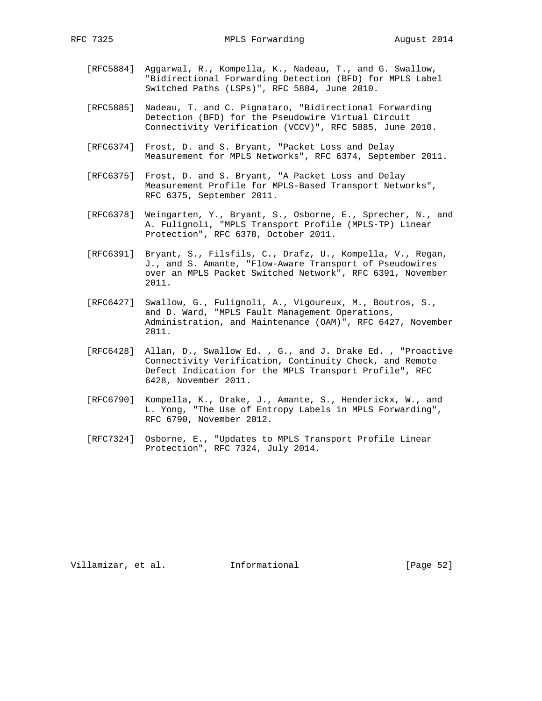- [RFC5884] Aggarwal, R., Kompella, K., Nadeau, T., and G. Swallow, "Bidirectional Forwarding Detection (BFD) for MPLS Label Switched Paths (LSPs)", RFC 5884, June 2010.
- [RFC5885] Nadeau, T. and C. Pignataro, "Bidirectional Forwarding Detection (BFD) for the Pseudowire Virtual Circuit Connectivity Verification (VCCV)", RFC 5885, June 2010.
- [RFC6374] Frost, D. and S. Bryant, "Packet Loss and Delay Measurement for MPLS Networks", RFC 6374, September 2011.
- [RFC6375] Frost, D. and S. Bryant, "A Packet Loss and Delay Measurement Profile for MPLS-Based Transport Networks", RFC 6375, September 2011.
- [RFC6378] Weingarten, Y., Bryant, S., Osborne, E., Sprecher, N., and A. Fulignoli, "MPLS Transport Profile (MPLS-TP) Linear Protection", RFC 6378, October 2011.
- [RFC6391] Bryant, S., Filsfils, C., Drafz, U., Kompella, V., Regan, J., and S. Amante, "Flow-Aware Transport of Pseudowires over an MPLS Packet Switched Network", RFC 6391, November 2011.
- [RFC6427] Swallow, G., Fulignoli, A., Vigoureux, M., Boutros, S., and D. Ward, "MPLS Fault Management Operations, Administration, and Maintenance (OAM)", RFC 6427, November 2011.
- [RFC6428] Allan, D., Swallow Ed. , G., and J. Drake Ed. , "Proactive Connectivity Verification, Continuity Check, and Remote Defect Indication for the MPLS Transport Profile", RFC 6428, November 2011.
- [RFC6790] Kompella, K., Drake, J., Amante, S., Henderickx, W., and L. Yong, "The Use of Entropy Labels in MPLS Forwarding", RFC 6790, November 2012.
- [RFC7324] Osborne, E., "Updates to MPLS Transport Profile Linear Protection", RFC 7324, July 2014.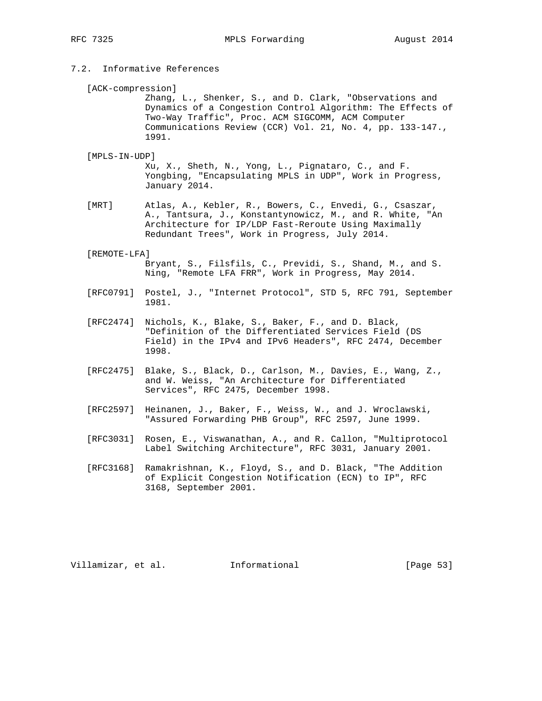# 7.2. Informative References

[ACK-compression]

 Zhang, L., Shenker, S., and D. Clark, "Observations and Dynamics of a Congestion Control Algorithm: The Effects of Two-Way Traffic", Proc. ACM SIGCOMM, ACM Computer Communications Review (CCR) Vol. 21, No. 4, pp. 133-147., 1991.

[MPLS-IN-UDP]

 Xu, X., Sheth, N., Yong, L., Pignataro, C., and F. Yongbing, "Encapsulating MPLS in UDP", Work in Progress, January 2014.

 [MRT] Atlas, A., Kebler, R., Bowers, C., Envedi, G., Csaszar, A., Tantsura, J., Konstantynowicz, M., and R. White, "An Architecture for IP/LDP Fast-Reroute Using Maximally Redundant Trees", Work in Progress, July 2014.

### [REMOTE-LFA]

 Bryant, S., Filsfils, C., Previdi, S., Shand, M., and S. Ning, "Remote LFA FRR", Work in Progress, May 2014.

- [RFC0791] Postel, J., "Internet Protocol", STD 5, RFC 791, September 1981.
- [RFC2474] Nichols, K., Blake, S., Baker, F., and D. Black, "Definition of the Differentiated Services Field (DS Field) in the IPv4 and IPv6 Headers", RFC 2474, December 1998.
- [RFC2475] Blake, S., Black, D., Carlson, M., Davies, E., Wang, Z., and W. Weiss, "An Architecture for Differentiated Services", RFC 2475, December 1998.
- [RFC2597] Heinanen, J., Baker, F., Weiss, W., and J. Wroclawski, "Assured Forwarding PHB Group", RFC 2597, June 1999.
- [RFC3031] Rosen, E., Viswanathan, A., and R. Callon, "Multiprotocol Label Switching Architecture", RFC 3031, January 2001.
- [RFC3168] Ramakrishnan, K., Floyd, S., and D. Black, "The Addition of Explicit Congestion Notification (ECN) to IP", RFC 3168, September 2001.

Villamizar, et al. 1nformational [Page 53]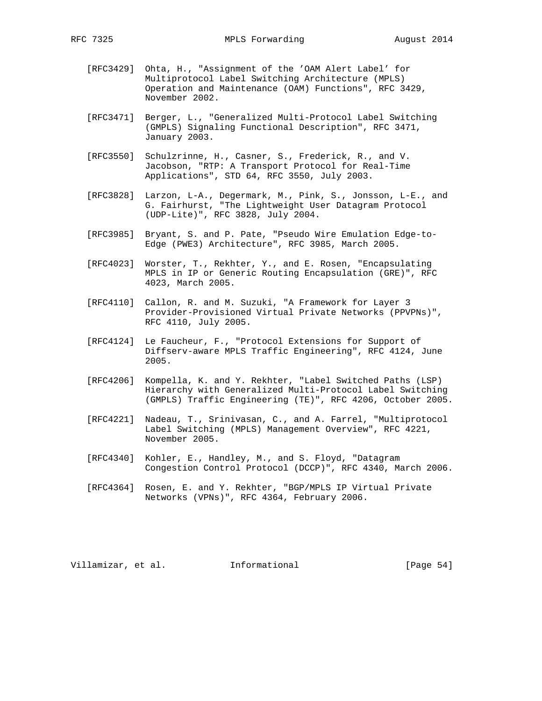- [RFC3429] Ohta, H., "Assignment of the 'OAM Alert Label' for Multiprotocol Label Switching Architecture (MPLS) Operation and Maintenance (OAM) Functions", RFC 3429, November 2002.
- [RFC3471] Berger, L., "Generalized Multi-Protocol Label Switching (GMPLS) Signaling Functional Description", RFC 3471, January 2003.
- [RFC3550] Schulzrinne, H., Casner, S., Frederick, R., and V. Jacobson, "RTP: A Transport Protocol for Real-Time Applications", STD 64, RFC 3550, July 2003.
- [RFC3828] Larzon, L-A., Degermark, M., Pink, S., Jonsson, L-E., and G. Fairhurst, "The Lightweight User Datagram Protocol (UDP-Lite)", RFC 3828, July 2004.
- [RFC3985] Bryant, S. and P. Pate, "Pseudo Wire Emulation Edge-to- Edge (PWE3) Architecture", RFC 3985, March 2005.
- [RFC4023] Worster, T., Rekhter, Y., and E. Rosen, "Encapsulating MPLS in IP or Generic Routing Encapsulation (GRE)", RFC 4023, March 2005.
- [RFC4110] Callon, R. and M. Suzuki, "A Framework for Layer 3 Provider-Provisioned Virtual Private Networks (PPVPNs)", RFC 4110, July 2005.
- [RFC4124] Le Faucheur, F., "Protocol Extensions for Support of Diffserv-aware MPLS Traffic Engineering", RFC 4124, June 2005.
- [RFC4206] Kompella, K. and Y. Rekhter, "Label Switched Paths (LSP) Hierarchy with Generalized Multi-Protocol Label Switching (GMPLS) Traffic Engineering (TE)", RFC 4206, October 2005.
- [RFC4221] Nadeau, T., Srinivasan, C., and A. Farrel, "Multiprotocol Label Switching (MPLS) Management Overview", RFC 4221, November 2005.
- [RFC4340] Kohler, E., Handley, M., and S. Floyd, "Datagram Congestion Control Protocol (DCCP)", RFC 4340, March 2006.
- [RFC4364] Rosen, E. and Y. Rekhter, "BGP/MPLS IP Virtual Private Networks (VPNs)", RFC 4364, February 2006.

Villamizar, et al. 1nformational [Page 54]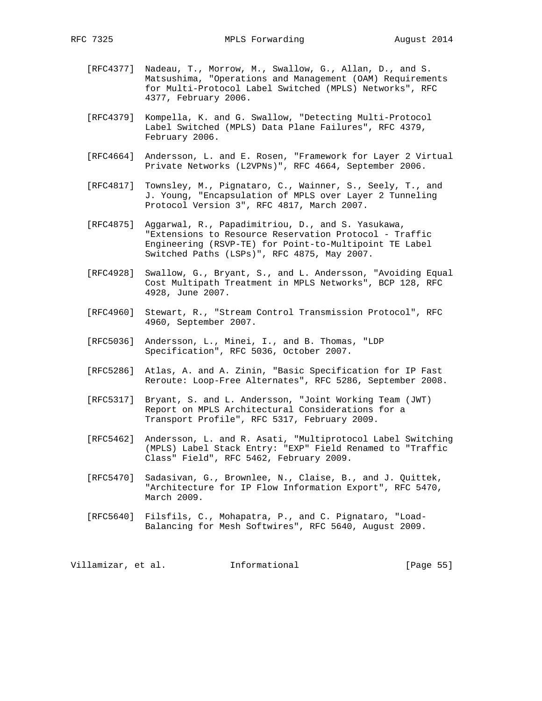- [RFC4377] Nadeau, T., Morrow, M., Swallow, G., Allan, D., and S. Matsushima, "Operations and Management (OAM) Requirements for Multi-Protocol Label Switched (MPLS) Networks", RFC 4377, February 2006.
- [RFC4379] Kompella, K. and G. Swallow, "Detecting Multi-Protocol Label Switched (MPLS) Data Plane Failures", RFC 4379, February 2006.
- [RFC4664] Andersson, L. and E. Rosen, "Framework for Layer 2 Virtual Private Networks (L2VPNs)", RFC 4664, September 2006.
- [RFC4817] Townsley, M., Pignataro, C., Wainner, S., Seely, T., and J. Young, "Encapsulation of MPLS over Layer 2 Tunneling Protocol Version 3", RFC 4817, March 2007.
- [RFC4875] Aggarwal, R., Papadimitriou, D., and S. Yasukawa, "Extensions to Resource Reservation Protocol - Traffic Engineering (RSVP-TE) for Point-to-Multipoint TE Label Switched Paths (LSPs)", RFC 4875, May 2007.
- [RFC4928] Swallow, G., Bryant, S., and L. Andersson, "Avoiding Equal Cost Multipath Treatment in MPLS Networks", BCP 128, RFC 4928, June 2007.
- [RFC4960] Stewart, R., "Stream Control Transmission Protocol", RFC 4960, September 2007.
- [RFC5036] Andersson, L., Minei, I., and B. Thomas, "LDP Specification", RFC 5036, October 2007.
- [RFC5286] Atlas, A. and A. Zinin, "Basic Specification for IP Fast Reroute: Loop-Free Alternates", RFC 5286, September 2008.
- [RFC5317] Bryant, S. and L. Andersson, "Joint Working Team (JWT) Report on MPLS Architectural Considerations for a Transport Profile", RFC 5317, February 2009.
- [RFC5462] Andersson, L. and R. Asati, "Multiprotocol Label Switching (MPLS) Label Stack Entry: "EXP" Field Renamed to "Traffic Class" Field", RFC 5462, February 2009.
- [RFC5470] Sadasivan, G., Brownlee, N., Claise, B., and J. Quittek, "Architecture for IP Flow Information Export", RFC 5470, March 2009.
- [RFC5640] Filsfils, C., Mohapatra, P., and C. Pignataro, "Load- Balancing for Mesh Softwires", RFC 5640, August 2009.

Villamizar, et al. 1nformational [Page 55]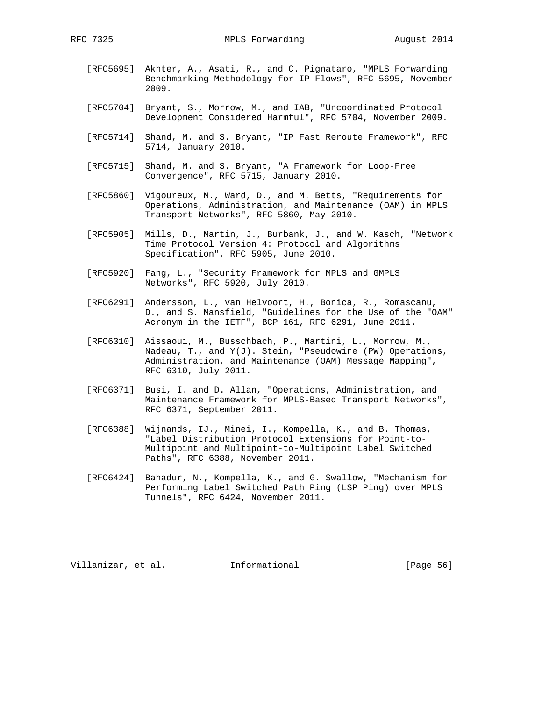- [RFC5695] Akhter, A., Asati, R., and C. Pignataro, "MPLS Forwarding Benchmarking Methodology for IP Flows", RFC 5695, November 2009.
- [RFC5704] Bryant, S., Morrow, M., and IAB, "Uncoordinated Protocol Development Considered Harmful", RFC 5704, November 2009.
- [RFC5714] Shand, M. and S. Bryant, "IP Fast Reroute Framework", RFC 5714, January 2010.
- [RFC5715] Shand, M. and S. Bryant, "A Framework for Loop-Free Convergence", RFC 5715, January 2010.
- [RFC5860] Vigoureux, M., Ward, D., and M. Betts, "Requirements for Operations, Administration, and Maintenance (OAM) in MPLS Transport Networks", RFC 5860, May 2010.
- [RFC5905] Mills, D., Martin, J., Burbank, J., and W. Kasch, "Network Time Protocol Version 4: Protocol and Algorithms Specification", RFC 5905, June 2010.
- [RFC5920] Fang, L., "Security Framework for MPLS and GMPLS Networks", RFC 5920, July 2010.
- [RFC6291] Andersson, L., van Helvoort, H., Bonica, R., Romascanu, D., and S. Mansfield, "Guidelines for the Use of the "OAM" Acronym in the IETF", BCP 161, RFC 6291, June 2011.
- [RFC6310] Aissaoui, M., Busschbach, P., Martini, L., Morrow, M., Nadeau, T., and Y(J). Stein, "Pseudowire (PW) Operations, Administration, and Maintenance (OAM) Message Mapping", RFC 6310, July 2011.
- [RFC6371] Busi, I. and D. Allan, "Operations, Administration, and Maintenance Framework for MPLS-Based Transport Networks", RFC 6371, September 2011.
- [RFC6388] Wijnands, IJ., Minei, I., Kompella, K., and B. Thomas, "Label Distribution Protocol Extensions for Point-to- Multipoint and Multipoint-to-Multipoint Label Switched Paths", RFC 6388, November 2011.
- [RFC6424] Bahadur, N., Kompella, K., and G. Swallow, "Mechanism for Performing Label Switched Path Ping (LSP Ping) over MPLS Tunnels", RFC 6424, November 2011.

Villamizar, et al. 1nformational (Page 56)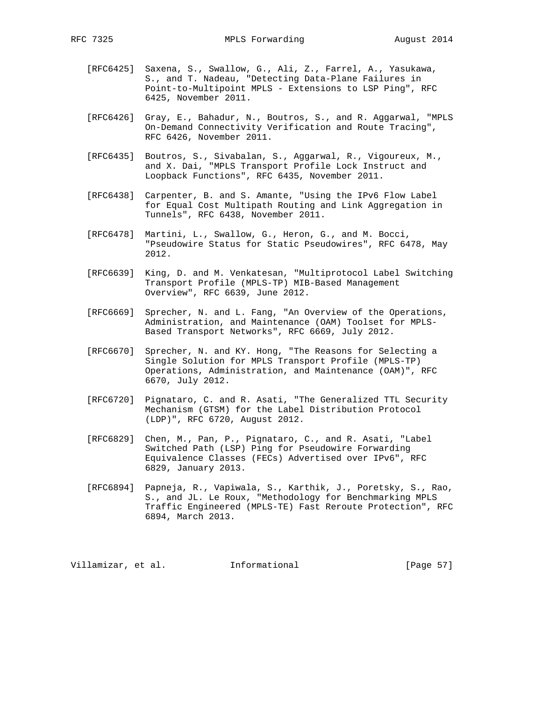- [RFC6425] Saxena, S., Swallow, G., Ali, Z., Farrel, A., Yasukawa, S., and T. Nadeau, "Detecting Data-Plane Failures in Point-to-Multipoint MPLS - Extensions to LSP Ping", RFC 6425, November 2011.
- [RFC6426] Gray, E., Bahadur, N., Boutros, S., and R. Aggarwal, "MPLS On-Demand Connectivity Verification and Route Tracing", RFC 6426, November 2011.
- [RFC6435] Boutros, S., Sivabalan, S., Aggarwal, R., Vigoureux, M., and X. Dai, "MPLS Transport Profile Lock Instruct and Loopback Functions", RFC 6435, November 2011.
- [RFC6438] Carpenter, B. and S. Amante, "Using the IPv6 Flow Label for Equal Cost Multipath Routing and Link Aggregation in Tunnels", RFC 6438, November 2011.
- [RFC6478] Martini, L., Swallow, G., Heron, G., and M. Bocci, "Pseudowire Status for Static Pseudowires", RFC 6478, May 2012.
- [RFC6639] King, D. and M. Venkatesan, "Multiprotocol Label Switching Transport Profile (MPLS-TP) MIB-Based Management Overview", RFC 6639, June 2012.
- [RFC6669] Sprecher, N. and L. Fang, "An Overview of the Operations, Administration, and Maintenance (OAM) Toolset for MPLS- Based Transport Networks", RFC 6669, July 2012.
- [RFC6670] Sprecher, N. and KY. Hong, "The Reasons for Selecting a Single Solution for MPLS Transport Profile (MPLS-TP) Operations, Administration, and Maintenance (OAM)", RFC 6670, July 2012.
- [RFC6720] Pignataro, C. and R. Asati, "The Generalized TTL Security Mechanism (GTSM) for the Label Distribution Protocol (LDP)", RFC 6720, August 2012.
- [RFC6829] Chen, M., Pan, P., Pignataro, C., and R. Asati, "Label Switched Path (LSP) Ping for Pseudowire Forwarding Equivalence Classes (FECs) Advertised over IPv6", RFC 6829, January 2013.
- [RFC6894] Papneja, R., Vapiwala, S., Karthik, J., Poretsky, S., Rao, S., and JL. Le Roux, "Methodology for Benchmarking MPLS Traffic Engineered (MPLS-TE) Fast Reroute Protection", RFC 6894, March 2013.

Villamizar, et al. 1nformational [Page 57]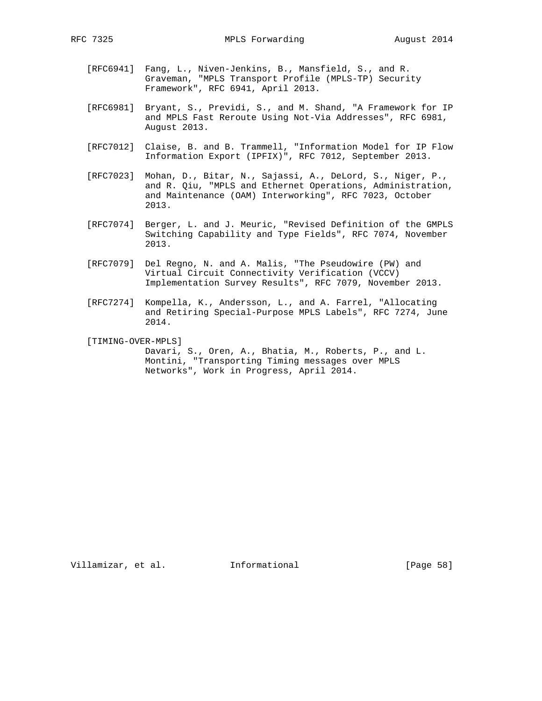- - [RFC6941] Fang, L., Niven-Jenkins, B., Mansfield, S., and R. Graveman, "MPLS Transport Profile (MPLS-TP) Security Framework", RFC 6941, April 2013.
	- [RFC6981] Bryant, S., Previdi, S., and M. Shand, "A Framework for IP and MPLS Fast Reroute Using Not-Via Addresses", RFC 6981, August 2013.
	- [RFC7012] Claise, B. and B. Trammell, "Information Model for IP Flow Information Export (IPFIX)", RFC 7012, September 2013.
	- [RFC7023] Mohan, D., Bitar, N., Sajassi, A., DeLord, S., Niger, P., and R. Qiu, "MPLS and Ethernet Operations, Administration, and Maintenance (OAM) Interworking", RFC 7023, October 2013.
	- [RFC7074] Berger, L. and J. Meuric, "Revised Definition of the GMPLS Switching Capability and Type Fields", RFC 7074, November 2013.
	- [RFC7079] Del Regno, N. and A. Malis, "The Pseudowire (PW) and Virtual Circuit Connectivity Verification (VCCV) Implementation Survey Results", RFC 7079, November 2013.
	- [RFC7274] Kompella, K., Andersson, L., and A. Farrel, "Allocating and Retiring Special-Purpose MPLS Labels", RFC 7274, June 2014.
	- [TIMING-OVER-MPLS]
		- Davari, S., Oren, A., Bhatia, M., Roberts, P., and L. Montini, "Transporting Timing messages over MPLS Networks", Work in Progress, April 2014.

Villamizar, et al. 1nformational [Page 58]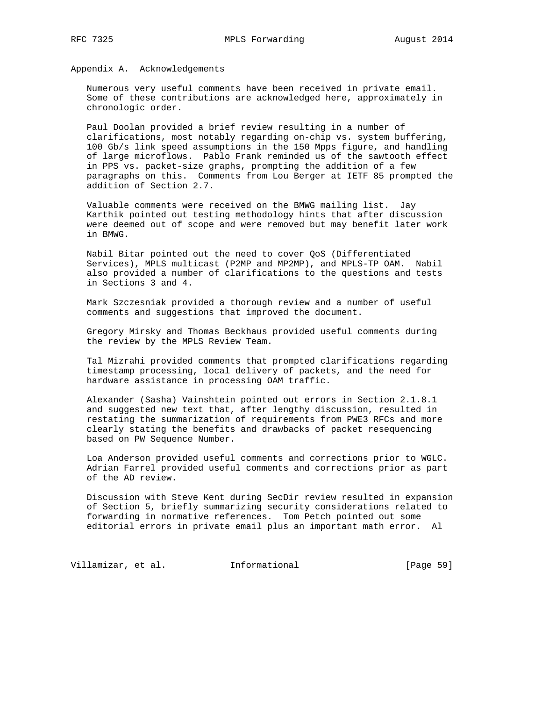Appendix A. Acknowledgements

 Numerous very useful comments have been received in private email. Some of these contributions are acknowledged here, approximately in chronologic order.

 Paul Doolan provided a brief review resulting in a number of clarifications, most notably regarding on-chip vs. system buffering, 100 Gb/s link speed assumptions in the 150 Mpps figure, and handling of large microflows. Pablo Frank reminded us of the sawtooth effect in PPS vs. packet-size graphs, prompting the addition of a few paragraphs on this. Comments from Lou Berger at IETF 85 prompted the addition of Section 2.7.

 Valuable comments were received on the BMWG mailing list. Jay Karthik pointed out testing methodology hints that after discussion were deemed out of scope and were removed but may benefit later work in BMWG.

 Nabil Bitar pointed out the need to cover QoS (Differentiated Services), MPLS multicast (P2MP and MP2MP), and MPLS-TP OAM. Nabil also provided a number of clarifications to the questions and tests in Sections 3 and 4.

 Mark Szczesniak provided a thorough review and a number of useful comments and suggestions that improved the document.

 Gregory Mirsky and Thomas Beckhaus provided useful comments during the review by the MPLS Review Team.

 Tal Mizrahi provided comments that prompted clarifications regarding timestamp processing, local delivery of packets, and the need for hardware assistance in processing OAM traffic.

 Alexander (Sasha) Vainshtein pointed out errors in Section 2.1.8.1 and suggested new text that, after lengthy discussion, resulted in restating the summarization of requirements from PWE3 RFCs and more clearly stating the benefits and drawbacks of packet resequencing based on PW Sequence Number.

 Loa Anderson provided useful comments and corrections prior to WGLC. Adrian Farrel provided useful comments and corrections prior as part of the AD review.

 Discussion with Steve Kent during SecDir review resulted in expansion of Section 5, briefly summarizing security considerations related to forwarding in normative references. Tom Petch pointed out some editorial errors in private email plus an important math error. Al

Villamizar, et al. 1nformational [Page 59]